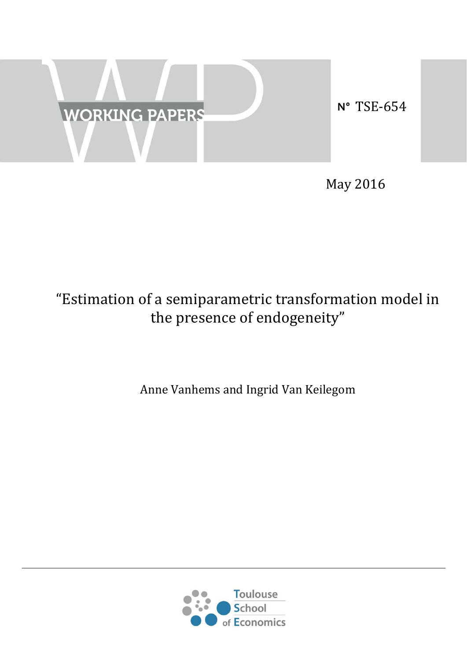

May 2016

# "Estimation of a semiparametric transformation model in the presence of endogeneity"

Anne Vanhems and Ingrid Van Keilegom

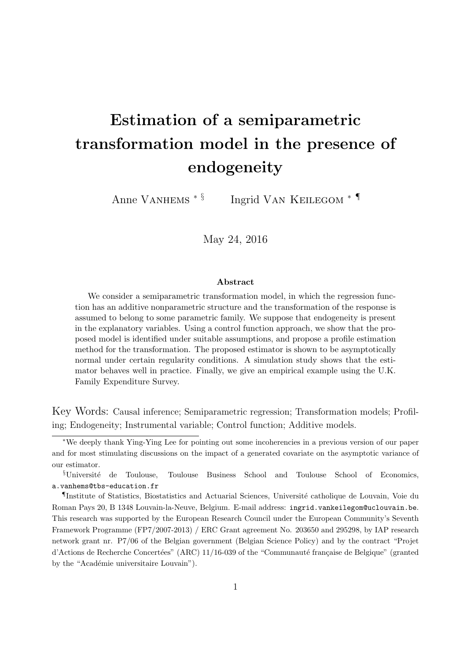# **Estimation of a semiparametric transformation model in the presence of endogeneity**

Anne Vanhems *∗ §* Ingrid Van Keilegom *∗ ¶*

May 24, 2016

#### **Abstract**

We consider a semiparametric transformation model, in which the regression function has an additive nonparametric structure and the transformation of the response is assumed to belong to some parametric family. We suppose that endogeneity is present in the explanatory variables. Using a control function approach, we show that the proposed model is identified under suitable assumptions, and propose a profile estimation method for the transformation. The proposed estimator is shown to be asymptotically normal under certain regularity conditions. A simulation study shows that the estimator behaves well in practice. Finally, we give an empirical example using the U.K. Family Expenditure Survey.

Key Words: Causal inference; Semiparametric regression; Transformation models; Profiling; Endogeneity; Instrumental variable; Control function; Additive models.

*<sup>∗</sup>*We deeply thank Ying-Ying Lee for pointing out some incoherencies in a previous version of our paper and for most stimulating discussions on the impact of a generated covariate on the asymptotic variance of our estimator.

*<sup>§</sup>*Universit´e de Toulouse, Toulouse Business School and Toulouse School of Economics, a.vanhems@tbs-education.fr

*<sup>¶</sup>*Institute of Statistics, Biostatistics and Actuarial Sciences, Universit´e catholique de Louvain, Voie du Roman Pays 20, B 1348 Louvain-la-Neuve, Belgium. E-mail address: ingrid.vankeilegom@uclouvain.be. This research was supported by the European Research Council under the European Community's Seventh Framework Programme (FP7/2007-2013) / ERC Grant agreement No. 203650 and 295298, by IAP research network grant nr. P7/06 of the Belgian government (Belgian Science Policy) and by the contract "Projet d'Actions de Recherche Concertées" (ARC) 11/16-039 of the "Communauté française de Belgique" (granted by the "Académie universitaire Louvain").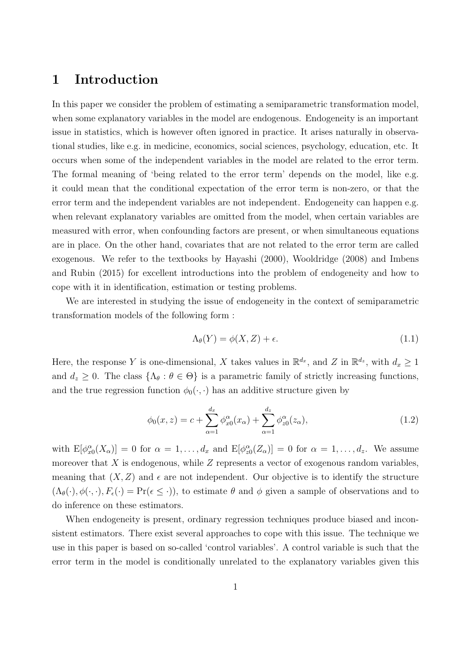## **1 Introduction**

In this paper we consider the problem of estimating a semiparametric transformation model, when some explanatory variables in the model are endogenous. Endogeneity is an important issue in statistics, which is however often ignored in practice. It arises naturally in observational studies, like e.g. in medicine, economics, social sciences, psychology, education, etc. It occurs when some of the independent variables in the model are related to the error term. The formal meaning of 'being related to the error term' depends on the model, like e.g. it could mean that the conditional expectation of the error term is non-zero, or that the error term and the independent variables are not independent. Endogeneity can happen e.g. when relevant explanatory variables are omitted from the model, when certain variables are measured with error, when confounding factors are present, or when simultaneous equations are in place. On the other hand, covariates that are not related to the error term are called exogenous. We refer to the textbooks by Hayashi (2000), Wooldridge (2008) and Imbens and Rubin (2015) for excellent introductions into the problem of endogeneity and how to cope with it in identification, estimation or testing problems.

We are interested in studying the issue of endogeneity in the context of semiparametric transformation models of the following form :

$$
\Lambda_{\theta}(Y) = \phi(X, Z) + \epsilon. \tag{1.1}
$$

Here, the response *Y* is one-dimensional, *X* takes values in  $\mathbb{R}^{d_x}$ , and *Z* in  $\mathbb{R}^{d_z}$ , with  $d_x \geq 1$ and  $d_z \geq 0$ . The class  $\{\Lambda_\theta : \theta \in \Theta\}$  is a parametric family of strictly increasing functions, and the true regression function  $\phi_0(\cdot, \cdot)$  has an additive structure given by

$$
\phi_0(x, z) = c + \sum_{\alpha=1}^{d_x} \phi_{x0}^{\alpha}(x_{\alpha}) + \sum_{\alpha=1}^{d_z} \phi_{z0}^{\alpha}(z_{\alpha}), \qquad (1.2)
$$

with  $E[\phi_{x0}^{\alpha}(X_{\alpha})] = 0$  for  $\alpha = 1, \ldots, d_x$  and  $E[\phi_{z0}^{\alpha}(Z_{\alpha})] = 0$  for  $\alpha = 1, \ldots, d_z$ . We assume moreover that *X* is endogenous, while *Z* represents a vector of exogenous random variables, meaning that  $(X, Z)$  and  $\epsilon$  are not independent. Our objective is to identify the structure  $(\Lambda_{\theta}(\cdot), \phi(\cdot, \cdot), F_{\epsilon}(\cdot) = \Pr(\epsilon \leq \cdot))$ , to estimate  $\theta$  and  $\phi$  given a sample of observations and to do inference on these estimators.

When endogeneity is present, ordinary regression techniques produce biased and inconsistent estimators. There exist several approaches to cope with this issue. The technique we use in this paper is based on so-called 'control variables'. A control variable is such that the error term in the model is conditionally unrelated to the explanatory variables given this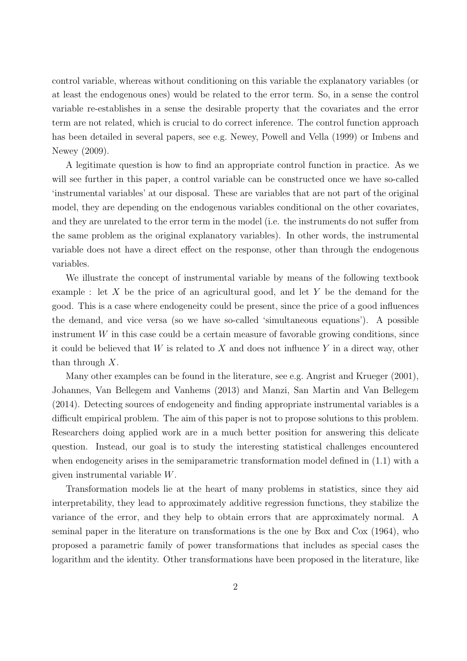control variable, whereas without conditioning on this variable the explanatory variables (or at least the endogenous ones) would be related to the error term. So, in a sense the control variable re-establishes in a sense the desirable property that the covariates and the error term are not related, which is crucial to do correct inference. The control function approach has been detailed in several papers, see e.g. Newey, Powell and Vella (1999) or Imbens and Newey (2009).

A legitimate question is how to find an appropriate control function in practice. As we will see further in this paper, a control variable can be constructed once we have so-called 'instrumental variables' at our disposal. These are variables that are not part of the original model, they are depending on the endogenous variables conditional on the other covariates, and they are unrelated to the error term in the model (i.e. the instruments do not suffer from the same problem as the original explanatory variables). In other words, the instrumental variable does not have a direct effect on the response, other than through the endogenous variables.

We illustrate the concept of instrumental variable by means of the following textbook example : let *X* be the price of an agricultural good, and let *Y* be the demand for the good. This is a case where endogeneity could be present, since the price of a good influences the demand, and vice versa (so we have so-called 'simultaneous equations'). A possible instrument  $W$  in this case could be a certain measure of favorable growing conditions, since it could be believed that *W* is related to *X* and does not influence *Y* in a direct way, other than through *X*.

Many other examples can be found in the literature, see e.g. Angrist and Krueger (2001), Johannes, Van Bellegem and Vanhems (2013) and Manzi, San Martin and Van Bellegem (2014). Detecting sources of endogeneity and finding appropriate instrumental variables is a difficult empirical problem. The aim of this paper is not to propose solutions to this problem. Researchers doing applied work are in a much better position for answering this delicate question. Instead, our goal is to study the interesting statistical challenges encountered when endogeneity arises in the semiparametric transformation model defined in (1.1) with a given instrumental variable *W*.

Transformation models lie at the heart of many problems in statistics, since they aid interpretability, they lead to approximately additive regression functions, they stabilize the variance of the error, and they help to obtain errors that are approximately normal. A seminal paper in the literature on transformations is the one by Box and Cox (1964), who proposed a parametric family of power transformations that includes as special cases the logarithm and the identity. Other transformations have been proposed in the literature, like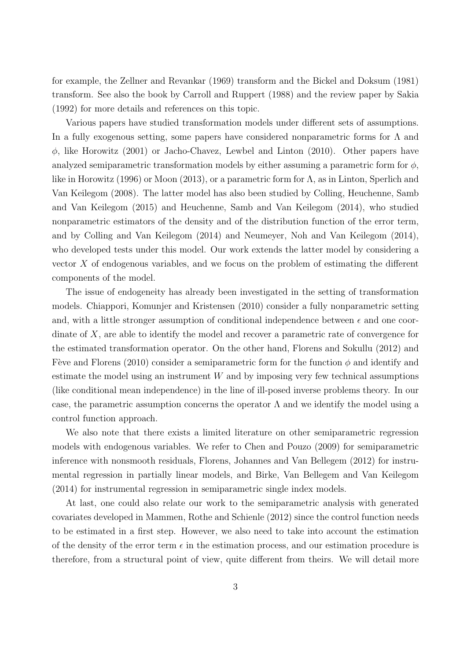for example, the Zellner and Revankar (1969) transform and the Bickel and Doksum (1981) transform. See also the book by Carroll and Ruppert (1988) and the review paper by Sakia (1992) for more details and references on this topic.

Various papers have studied transformation models under different sets of assumptions. In a fully exogenous setting, some papers have considered nonparametric forms for  $\Lambda$  and *ϕ*, like Horowitz (2001) or Jacho-Chavez, Lewbel and Linton (2010). Other papers have analyzed semiparametric transformation models by either assuming a parametric form for  $\phi$ , like in Horowitz (1996) or Moon (2013), or a parametric form for Λ, as in Linton, Sperlich and Van Keilegom (2008). The latter model has also been studied by Colling, Heuchenne, Samb and Van Keilegom (2015) and Heuchenne, Samb and Van Keilegom (2014), who studied nonparametric estimators of the density and of the distribution function of the error term, and by Colling and Van Keilegom (2014) and Neumeyer, Noh and Van Keilegom (2014), who developed tests under this model. Our work extends the latter model by considering a vector *X* of endogenous variables, and we focus on the problem of estimating the different components of the model.

The issue of endogeneity has already been investigated in the setting of transformation models. Chiappori, Komunjer and Kristensen (2010) consider a fully nonparametric setting and, with a little stronger assumption of conditional independence between  $\epsilon$  and one coordinate of *X*, are able to identify the model and recover a parametric rate of convergence for the estimated transformation operator. On the other hand, Florens and Sokullu (2012) and Fève and Florens (2010) consider a semiparametric form for the function  $\phi$  and identify and estimate the model using an instrument *W* and by imposing very few technical assumptions (like conditional mean independence) in the line of ill-posed inverse problems theory. In our case, the parametric assumption concerns the operator  $\Lambda$  and we identify the model using a control function approach.

We also note that there exists a limited literature on other semiparametric regression models with endogenous variables. We refer to Chen and Pouzo (2009) for semiparametric inference with nonsmooth residuals, Florens, Johannes and Van Bellegem (2012) for instrumental regression in partially linear models, and Birke, Van Bellegem and Van Keilegom (2014) for instrumental regression in semiparametric single index models.

At last, one could also relate our work to the semiparametric analysis with generated covariates developed in Mammen, Rothe and Schienle (2012) since the control function needs to be estimated in a first step. However, we also need to take into account the estimation of the density of the error term  $\epsilon$  in the estimation process, and our estimation procedure is therefore, from a structural point of view, quite different from theirs. We will detail more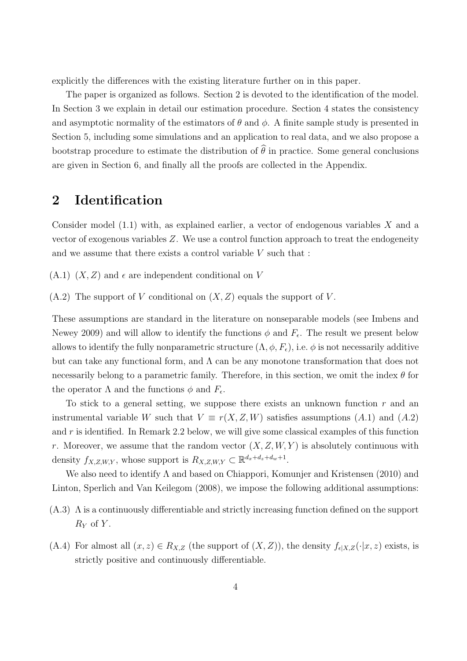explicitly the differences with the existing literature further on in this paper.

The paper is organized as follows. Section 2 is devoted to the identification of the model. In Section 3 we explain in detail our estimation procedure. Section 4 states the consistency and asymptotic normality of the estimators of  $\theta$  and  $\phi$ . A finite sample study is presented in Section 5, including some simulations and an application to real data, and we also propose a bootstrap procedure to estimate the distribution of  $\hat{\theta}$  in practice. Some general conclusions are given in Section 6, and finally all the proofs are collected in the Appendix.

## **2 Identification**

Consider model (1.1) with, as explained earlier, a vector of endogenous variables *X* and a vector of exogenous variables *Z*. We use a control function approach to treat the endogeneity and we assume that there exists a control variable *V* such that :

 $(A.1)$   $(X, Z)$  and  $\epsilon$  are independent conditional on *V* 

 $(A.2)$  The support of *V* conditional on  $(X, Z)$  equals the support of *V*.

These assumptions are standard in the literature on nonseparable models (see Imbens and Newey 2009) and will allow to identify the functions  $\phi$  and  $F_{\epsilon}$ . The result we present below allows to identify the fully nonparametric structure  $(\Lambda, \phi, F_{\epsilon})$ , i.e.  $\phi$  is not necessarily additive but can take any functional form, and  $\Lambda$  can be any monotone transformation that does not necessarily belong to a parametric family. Therefore, in this section, we omit the index *θ* for the operator  $\Lambda$  and the functions  $\phi$  and  $F_{\epsilon}$ .

To stick to a general setting, we suppose there exists an unknown function *r* and an instrumental variable *W* such that  $V \equiv r(X, Z, W)$  satisfies assumptions (A.1) and (A.2) and *r* is identified. In Remark 2.2 below, we will give some classical examples of this function *r*. Moreover, we assume that the random vector  $(X, Z, W, Y)$  is absolutely continuous with density  $f_{X,Z,W,Y}$ , whose support is  $R_{X,Z,W,Y} \subset \mathbb{R}^{d_x+d_z+d_w+1}$ .

We also need to identify  $\Lambda$  and based on Chiappori, Komunjer and Kristensen (2010) and Linton, Sperlich and Van Keilegom (2008), we impose the following additional assumptions:

- (A.3) Λ is a continuously differentiable and strictly increasing function defined on the support *R<sup>Y</sup>* of *Y* .
- (A.4) For almost all  $(x, z) \in R_{X,Z}$  (the support of  $(X, Z)$ ), the density  $f_{\epsilon|X,Z}(\cdot|x, z)$  exists, is strictly positive and continuously differentiable.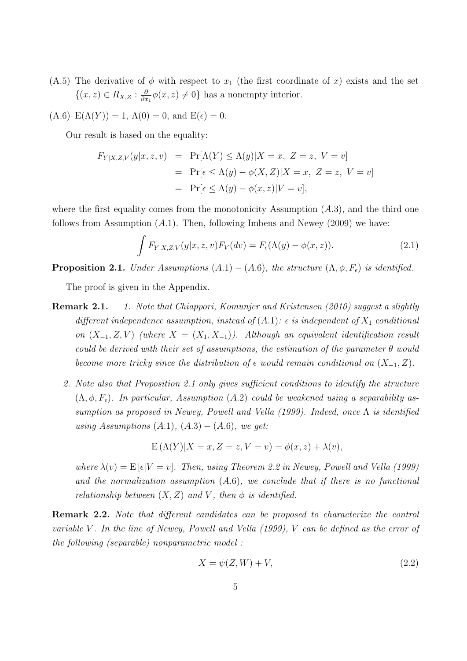(A.5) The derivative of  $\phi$  with respect to  $x_1$  (the first coordinate of  $x$ ) exists and the set *{*(*x, z*) *∈ RX,Z* : *∂*  $\frac{\partial}{\partial x_1}\phi(x,z) \neq 0$ } has a nonempty interior.

(A.6) 
$$
E(\Lambda(Y)) = 1
$$
,  $\Lambda(0) = 0$ , and  $E(\epsilon) = 0$ .

Our result is based on the equality:

$$
F_{Y|X,Z,V}(y|x,z,v) = \Pr[\Lambda(Y) \le \Lambda(y)|X=x, Z=z, V=v]
$$
  
= 
$$
\Pr[\epsilon \le \Lambda(y) - \phi(X,Z)|X=x, Z=z, V=v]
$$
  
= 
$$
\Pr[\epsilon \le \Lambda(y) - \phi(x,z)|V=v],
$$

where the first equality comes from the monotonicity Assumption (*A.*3), and the third one follows from Assumption (*A.*1). Then, following Imbens and Newey (2009) we have:

$$
\int F_{Y|X,Z,V}(y|x,z,v)F_V(dv) = F_{\epsilon}(\Lambda(y) - \phi(x,z)).
$$
\n(2.1)

**Proposition 2.1.** *Under Assumptions*  $(A.1) - (A.6)$ *, the structure*  $(\Lambda, \phi, F_{\epsilon})$  *is identified.* 

The proof is given in the Appendix.

- **Remark 2.1.** *1. Note that Chiappori, Komunjer and Kristensen (2010) suggest a slightly different independence assumption, instead of*  $(A.1)$ *:*  $\epsilon$  *is independent of*  $X_1$  *conditional on*  $(X_1, Z, V)$  (where  $X = (X_1, X_1)$ ). Although an equivalent identification result *could be derived with their set of assumptions, the estimation of the parameter*  $\theta$  *would become more tricky since the distribution of*  $\epsilon$  *would remain conditional on*  $(X_{-1}, Z)$ *.* 
	- *2. Note also that Proposition 2.1 only gives sufficient conditions to identify the structure*  $(\Lambda, \phi, F_{\epsilon})$ *. In particular, Assumption* (*A.2*) *could be weakened using a separability assumption as proposed in Newey, Powell and Vella (1999). Indeed, once* Λ *is identified using Assumptions* (*A.*1)*,* (*A.*3) *−* (*A.*6)*, we get:*

$$
E(\Lambda(Y)|X=x, Z=z, V=v) = \phi(x, z) + \lambda(v),
$$

*where*  $\lambda(v) = E[\epsilon|V = v]$ . Then, using Theorem 2.2 in Newey, Powell and Vella (1999) *and the normalization assumption* (*A.*6)*, we conclude that if there is no functional relationship between*  $(X, Z)$  *and*  $V$ *, then*  $\phi$  *is identified.* 

**Remark 2.2.** *Note that different candidates can be proposed to characterize the control variable V . In the line of Newey, Powell and Vella (1999), V can be defined as the error of the following (separable) nonparametric model :*

$$
X = \psi(Z, W) + V,\tag{2.2}
$$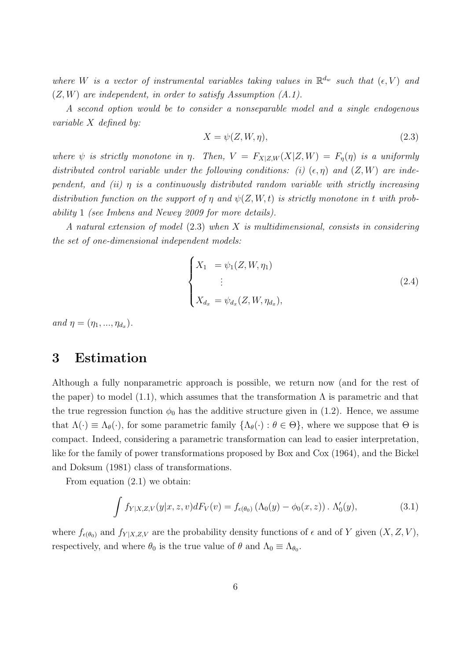*where W is a vector of instrumental variables taking values in*  $\mathbb{R}^{d_w}$  *such that*  $(\epsilon, V)$  *and* (*Z, W*) *are independent, in order to satisfy Assumption (A.1).*

*A second option would be to consider a nonseparable model and a single endogenous variable X defined by:*

$$
X = \psi(Z, W, \eta),\tag{2.3}
$$

*where*  $\psi$  *is strictly monotone in*  $\eta$ *. Then,*  $V = F_{X|Z,W}(X|Z,W) = F_{\eta}(\eta)$  *is a uniformly distributed control variable under the following conditions: (i)*  $(\epsilon, \eta)$  *and*  $(Z, W)$  *are independent, and (ii) η is a continuously distributed random variable with strictly increasing distribution function on the support of*  $\eta$  *and*  $\psi$ (*Z,W,t*) *is strictly monotone in t with probability* 1 *(see Imbens and Newey 2009 for more details).*

*A natural extension of model* (2.3) *when X is multidimensional, consists in considering the set of one-dimensional independent models:*

$$
\begin{cases}\nX_1 &= \psi_1(Z, W, \eta_1) \\
\vdots \\
X_{d_x} &= \psi_{d_x}(Z, W, \eta_{d_x}),\n\end{cases}
$$
\n(2.4)

 $and \eta = (\eta_1, ..., \eta_{d_x}).$ 

## **3 Estimation**

Although a fully nonparametric approach is possible, we return now (and for the rest of the paper) to model (1.1), which assumes that the transformation  $\Lambda$  is parametric and that the true regression function  $\phi_0$  has the additive structure given in (1.2). Hence, we assume that  $\Lambda(\cdot) \equiv \Lambda_{\theta}(\cdot)$ , for some parametric family  $\{\Lambda_{\theta}(\cdot) : \theta \in \Theta\}$ , where we suppose that  $\Theta$  is compact. Indeed, considering a parametric transformation can lead to easier interpretation, like for the family of power transformations proposed by Box and Cox (1964), and the Bickel and Doksum (1981) class of transformations.

From equation (2.1) we obtain:

$$
\int f_{Y|X,Z,V}(y|x,z,v)dF_V(v) = f_{\epsilon(\theta_0)}(\Lambda_0(y) - \phi_0(x,z)) \cdot \Lambda'_0(y), \qquad (3.1)
$$

where  $f_{\epsilon(\theta_0)}$  and  $f_{Y|X,Z,V}$  are the probability density functions of  $\epsilon$  and of Y given  $(X, Z, V)$ , respectively, and where  $\theta_0$  is the true value of  $\theta$  and  $\Lambda_0 \equiv \Lambda_{\theta_0}$ .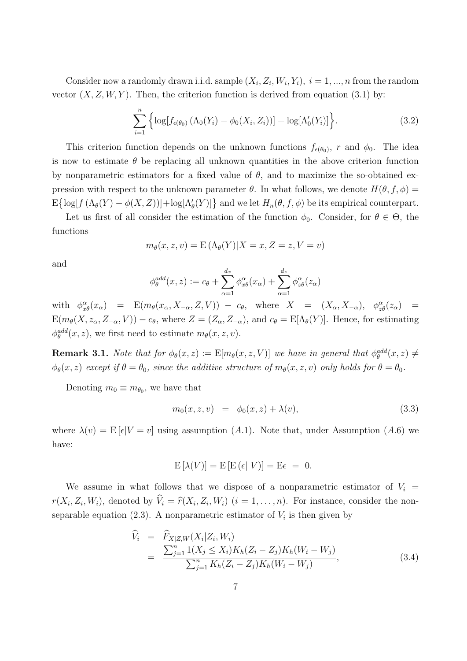Consider now a randomly drawn i.i.d. sample  $(X_i, Z_i, W_i, Y_i)$ ,  $i = 1, ..., n$  from the random vector  $(X, Z, W, Y)$ . Then, the criterion function is derived from equation (3.1) by:

$$
\sum_{i=1}^{n} \left\{ \log[f_{\epsilon(\theta_0)} \left( \Lambda_0(Y_i) - \phi_0(X_i, Z_i) \right)] + \log[\Lambda'_0(Y_i)] \right\}.
$$
 (3.2)

This criterion function depends on the unknown functions  $f_{\epsilon(\theta_0)}$ , *r* and  $\phi_0$ . The idea is now to estimate  $\theta$  be replacing all unknown quantities in the above criterion function by nonparametric estimators for a fixed value of  $\theta$ , and to maximize the so-obtained expression with respect to the unknown parameter  $\theta$ . In what follows, we denote  $H(\theta, f, \phi) =$  $\mathbb{E}[\log[f(\Lambda_{\theta}(Y) - \phi(X, Z))] + \log[\Lambda_{\theta}'(Y)]\}$  and we let  $H_n(\theta, f, \phi)$  be its empirical counterpart.

Let us first of all consider the estimation of the function  $\phi_0$ . Consider, for  $\theta \in \Theta$ , the functions

$$
m_{\theta}(x, z, v) = \mathcal{E}\left(\Lambda_{\theta}(Y)|X = x, Z = z, V = v\right)
$$

and

$$
\phi_{\theta}^{add}(x,z) := c_{\theta} + \sum_{\alpha=1}^{d_x} \phi_{x\theta}^{\alpha}(x_{\alpha}) + \sum_{\alpha=1}^{d_z} \phi_{z\theta}^{\alpha}(z_{\alpha})
$$

with  $\phi_{x\theta}^{\alpha}(x_{\alpha})$  =  $E(m_{\theta}(x_{\alpha}, X_{-\alpha}, Z, V)) - c_{\theta}$ , where  $X = (X_{\alpha}, X_{-\alpha})$ ,  $\phi_{z\theta}^{\alpha}(z_{\alpha})$  =  $E(m_{\theta}(X, z_{\alpha}, Z_{-\alpha}, V)) - c_{\theta}$ , where  $Z = (Z_{\alpha}, Z_{-\alpha})$ , and  $c_{\theta} = E[\Lambda_{\theta}(Y)]$ . Hence, for estimating  $\phi_{\theta}^{add}(x, z)$ , we first need to estimate  $m_{\theta}(x, z, v)$ .

**Remark 3.1.** *Note that for*  $\phi_{\theta}(x, z) := \mathbb{E}[m_{\theta}(x, z, V)]$  *we have in general that*  $\phi_{\theta}^{\text{add}}(x, z) \neq$  $\phi_{\theta}(x, z)$  *except if*  $\theta = \theta_0$ *, since the additive structure of*  $m_{\theta}(x, z, v)$  *only holds for*  $\theta = \theta_0$ *.* 

Denoting  $m_0 \equiv m_{\theta_0}$ , we have that

$$
m_0(x, z, v) = \phi_0(x, z) + \lambda(v), \tag{3.3}
$$

where  $\lambda(v) = \mathbb{E}[\epsilon|V = v]$  using assumption (*A.1*). Note that, under Assumption (*A.6*) we have:

$$
\mathcal{E}\left[\lambda(V)\right] = \mathcal{E}\left[\mathcal{E}\left(\epsilon\right|V\right)\right] = \mathcal{E}\epsilon = 0.
$$

We assume in what follows that we dispose of a nonparametric estimator of  $V_i$  $r(X_i, Z_i, W_i)$ , denoted by  $V_i = \hat{r}(X_i, Z_i, W_i)$   $(i = 1, ..., n)$ . For instance, consider the nonseparable equation  $(2.3)$ . A nonparametric estimator of  $V_i$  is then given by

$$
\begin{aligned}\n\widehat{V}_{i} &= \widehat{F}_{X|Z,W}(X_{i}|Z_{i},W_{i}) \\
&= \frac{\sum_{j=1}^{n} 1(X_{j} \le X_{i}) K_{h}(Z_{i} - Z_{j}) K_{h}(W_{i} - W_{j})}{\sum_{j=1}^{n} K_{h}(Z_{i} - Z_{j}) K_{h}(W_{i} - W_{j})},\n\end{aligned} \tag{3.4}
$$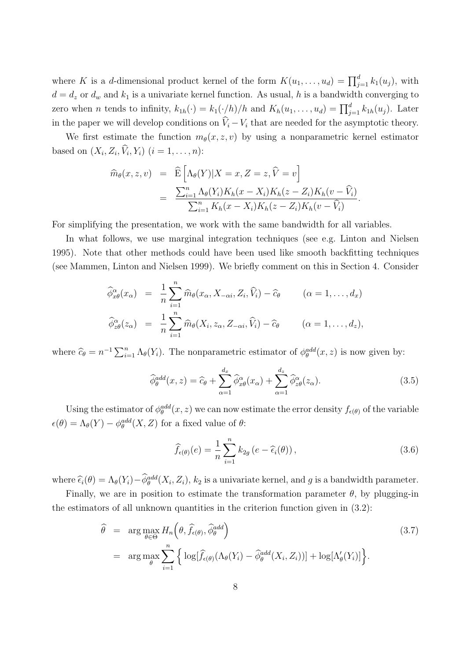where *K* is a *d*-dimensional product kernel of the form  $K(u_1, \ldots, u_d) = \prod_{j=1}^d k_1(u_j)$ , with  $d = d_z$  or  $d_w$  and  $k_1$  is a univariate kernel function. As usual, h is a bandwidth converging to zero when *n* tends to infinity,  $k_{1h}(\cdot) = k_1(\cdot/h)/h$  and  $K_h(u_1, \ldots, u_d) = \prod_{j=1}^d k_{1h}(u_j)$ . Later in the paper we will develop conditions on  $\hat{V}_i - V_i$  that are needed for the asymptotic theory.

We first estimate the function  $m_{\theta}(x, z, v)$  by using a nonparametric kernel estimator based on  $(X_i, Z_i, V_i, Y_i)$   $(i = 1, ..., n)$ :

$$
\widehat{m}_{\theta}(x, z, v) = \widehat{\mathbf{E}} \left[ \Lambda_{\theta}(Y) | X = x, Z = z, \widehat{V} = v \right]
$$

$$
= \frac{\sum_{i=1}^{n} \Lambda_{\theta}(Y_i) K_h(x - X_i) K_h(z - Z_i) K_h(v - \widehat{V}_i)}{\sum_{i=1}^{n} K_h(x - X_i) K_h(z - Z_i) K_h(v - \widehat{V}_i)}.
$$

For simplifying the presentation, we work with the same bandwidth for all variables.

In what follows, we use marginal integration techniques (see e.g. Linton and Nielsen 1995). Note that other methods could have been used like smooth backfitting techniques (see Mammen, Linton and Nielsen 1999). We briefly comment on this in Section 4. Consider

$$
\widehat{\phi}_{x\theta}^{\alpha}(x_{\alpha}) = \frac{1}{n} \sum_{i=1}^{n} \widehat{m}_{\theta}(x_{\alpha}, X_{-\alpha i}, Z_i, \widehat{V}_i) - \widehat{c}_{\theta} \qquad (\alpha = 1, ..., d_x)
$$
  

$$
\widehat{\phi}_{z\theta}^{\alpha}(z_{\alpha}) = \frac{1}{n} \sum_{i=1}^{n} \widehat{m}_{\theta}(X_i, z_{\alpha}, Z_{-\alpha i}, \widehat{V}_i) - \widehat{c}_{\theta} \qquad (\alpha = 1, ..., d_z),
$$

where  $\hat{c}_{\theta} = n^{-1} \sum_{i=1}^{n} \Lambda_{\theta}(Y_i)$ . The nonparametric estimator of  $\phi_{\theta}^{add}(x, z)$  is now given by:

$$
\widehat{\phi}_{\theta}^{add}(x,z) = \widehat{c}_{\theta} + \sum_{\alpha=1}^{d_x} \widehat{\phi}_{x\theta}^{\alpha}(x_{\alpha}) + \sum_{\alpha=1}^{d_z} \widehat{\phi}_{z\theta}^{\alpha}(z_{\alpha}). \tag{3.5}
$$

Using the estimator of  $\phi_{\theta}^{add}(x, z)$  we can now estimate the error density  $f_{\epsilon(\theta)}$  of the variable  $\epsilon(\theta) = \Lambda_{\theta}(Y) - \phi_{\theta}^{add}(X, Z)$  for a fixed value of  $\theta$ :

$$
\widehat{f}_{\epsilon(\theta)}(e) = \frac{1}{n} \sum_{i=1}^{n} k_{2g} \left( e - \widehat{\epsilon}_{i}(\theta) \right), \qquad (3.6)
$$

where  $\hat{\epsilon}_i(\theta) = \Lambda_{\theta}(Y_i) - \hat{\phi}_{\theta}^{add}(X_i, Z_i)$ ,  $k_2$  is a univariate kernel, and *g* is a bandwidth parameter.

Finally, we are in position to estimate the transformation parameter  $\theta$ , by plugging-in the estimators of all unknown quantities in the criterion function given in (3.2):

$$
\hat{\theta} = \arg \max_{\theta \in \Theta} H_n(\theta, \hat{f}_{\epsilon(\theta)}, \hat{\phi}_{\theta}^{add})
$$
\n
$$
= \arg \max_{\theta} \sum_{i=1}^n \left\{ \log[\hat{f}_{\epsilon(\theta)}(\Lambda_{\theta}(Y_i) - \hat{\phi}_{\theta}^{add}(X_i, Z_i))] + \log[\Lambda_{\theta}'(Y_i)] \right\}.
$$
\n(3.7)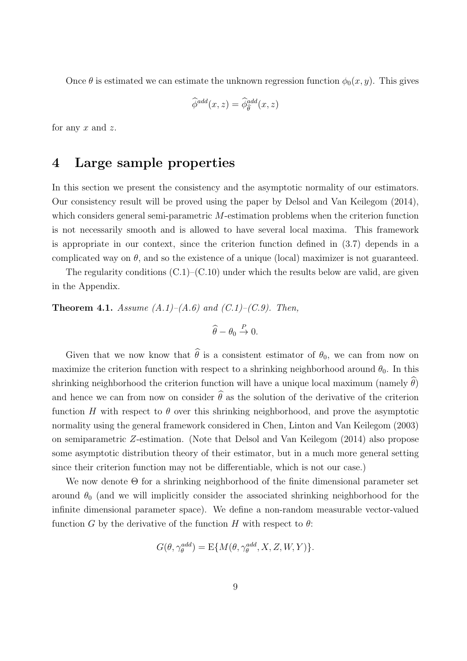Once  $\theta$  is estimated we can estimate the unknown regression function  $\phi_0(x, y)$ . This gives

$$
\widehat{\phi}^{add}(x,z) = \widehat{\phi}_{\widehat{\theta}}^{add}(x,z)
$$

for any *x* and *z*.

## **4 Large sample properties**

In this section we present the consistency and the asymptotic normality of our estimators. Our consistency result will be proved using the paper by Delsol and Van Keilegom (2014), which considers general semi-parametric *M*-estimation problems when the criterion function is not necessarily smooth and is allowed to have several local maxima. This framework is appropriate in our context, since the criterion function defined in (3.7) depends in a complicated way on  $\theta$ , and so the existence of a unique (local) maximizer is not guaranteed.

The regularity conditions  $(C.1)$ – $(C.10)$  under which the results below are valid, are given in the Appendix.

**Theorem 4.1.** *Assume (A.1)–(A.6) and (C.1)–(C.9). Then,*

$$
\widehat{\theta} - \theta_0 \stackrel{P}{\to} 0.
$$

Given that we now know that  $\hat{\theta}$  is a consistent estimator of  $\theta_0$ , we can from now on maximize the criterion function with respect to a shrinking neighborhood around  $\theta_0$ . In this shrinking neighborhood the criterion function will have a unique local maximum (namely  $\hat{\theta}$ ) and hence we can from now on consider  $\hat{\theta}$  as the solution of the derivative of the criterion function *H* with respect to  $\theta$  over this shrinking neighborhood, and prove the asymptotic normality using the general framework considered in Chen, Linton and Van Keilegom (2003) on semiparametric *Z*-estimation. (Note that Delsol and Van Keilegom (2014) also propose some asymptotic distribution theory of their estimator, but in a much more general setting since their criterion function may not be differentiable, which is not our case.)

We now denote Θ for a shrinking neighborhood of the finite dimensional parameter set around  $\theta_0$  (and we will implicitly consider the associated shrinking neighborhood for the infinite dimensional parameter space). We define a non-random measurable vector-valued function *G* by the derivative of the function *H* with respect to  $\theta$ :

$$
G(\theta, \gamma_{\theta}^{add}) = \mathbf{E}\{M(\theta, \gamma_{\theta}^{add}, X, Z, W, Y)\}.
$$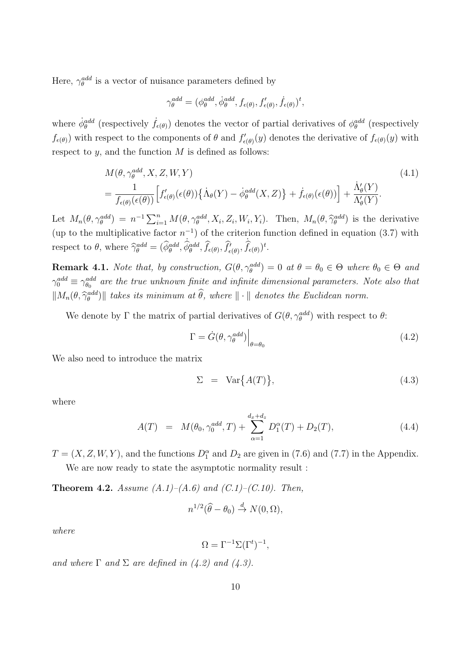Here,  $\gamma_{\theta}^{add}$  is a vector of nuisance parameters defined by

$$
\gamma_{\theta}^{add} = (\phi_{\theta}^{add}, \dot{\phi}_{\theta}^{add}, f_{\epsilon(\theta)}, f'_{\epsilon(\theta)}, \dot{f}_{\epsilon(\theta)})^t,
$$

where  $\dot{\phi}_{\theta}^{add}$  (respectively  $\dot{f}_{\epsilon(\theta)}$ ) denotes the vector of partial derivatives of  $\phi_{\theta}^{add}$  (respectively  $f_{\epsilon(\theta)}$  with respect to the components of  $\theta$  and  $f'_{\epsilon(\theta)}(y)$  denotes the derivative of  $f_{\epsilon(\theta)}(y)$  with respect to *y*, and the function *M* is defined as follows:

$$
M(\theta, \gamma_{\theta}^{add}, X, Z, W, Y)
$$
\n
$$
= \frac{1}{f_{\epsilon(\theta)}(\epsilon(\theta))} \Big[ f'_{\epsilon(\theta)}(\epsilon(\theta)) \{ \dot{\Lambda}_{\theta}(Y) - \dot{\phi}_{\theta}^{add}(X, Z) \} + \dot{f}_{\epsilon(\theta)}(\epsilon(\theta)) \Big] + \frac{\dot{\Lambda}_{\theta}'(Y)}{\Lambda_{\theta}'(Y)}.
$$
\n(4.1)

Let  $M_n(\theta, \gamma_{\theta}^{add}) = n^{-1} \sum_{i=1}^n M(\theta, \gamma_{\theta}^{add}, X_i, Z_i, W_i, Y_i)$ . Then,  $M_n(\theta, \hat{\gamma}_{\theta}^{add})$  is the derivative (up to the multiplicative factor  $n^{-1}$ ) of the criterion function defined in equation (3.7) with respect to  $\theta$ , where  $\hat{\gamma}_{\theta}^{add} = (\hat{\phi}_{\theta}^{add}, \hat{\phi}_{\theta}^{add}, \hat{f}_{\epsilon(\theta)}, \hat{f}'_{\epsilon(\theta)}, \hat{f}_{\epsilon(\theta)})^t$ .

**Remark 4.1.** *Note that, by construction,*  $G(\theta, \gamma_{\theta}^{add}) = 0$  *at*  $\theta = \theta_0 \in \Theta$  *where*  $\theta_0 \in \Theta$  *and*  $\gamma_0^{add} \equiv \gamma_{\theta_0}^{add}$  are the true unknown finite and infinite dimensional parameters. Note also that  $\|M_n(\theta, \hat{\gamma}_{\theta}^{add})\|$  *takes its minimum at*  $\hat{\theta}$ *, where*  $\| \cdot \|$  *denotes the Euclidean norm.* 

We denote by  $\Gamma$  the matrix of partial derivatives of  $G(\theta, \gamma_{\theta}^{add})$  with respect to  $\theta$ :

$$
\Gamma = \dot{G}(\theta, \gamma_{\theta}^{add})\Big|_{\theta = \theta_0} \tag{4.2}
$$

We also need to introduce the matrix

$$
\Sigma = \text{Var}\big\{A(T)\big\},\tag{4.3}
$$

where

$$
A(T) = M(\theta_0, \gamma_0^{add}, T) + \sum_{\alpha=1}^{d_x + d_z} D_1^{\alpha}(T) + D_2(T), \qquad (4.4)
$$

 $T = (X, Z, W, Y)$ , and the functions  $D_1^{\alpha}$  and  $D_2$  are given in (7.6) and (7.7) in the Appendix. We are now ready to state the asymptotic normality result :

**Theorem 4.2.** *Assume (A.1)–(A.6) and (C.1)–(C.10). Then,*

$$
n^{1/2}(\widehat{\theta}-\theta_0) \stackrel{d}{\to} N(0,\Omega),
$$

*where*

$$
\Omega = \Gamma^{-1} \Sigma (\Gamma^t)^{-1},
$$

*and where*  $\Gamma$  *and*  $\Sigma$  *are defined in* (4.2) *and* (4.3).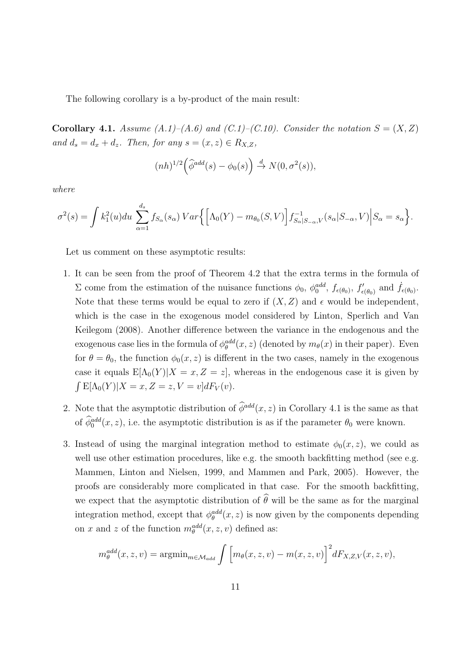The following corollary is a by-product of the main result:

**Corollary 4.1.** *Assume*  $(A.1)$ – $(A.6)$  and  $(C.1)$ – $(C.10)$ . Consider the notation  $S = (X, Z)$ *and*  $d_s = d_x + d_z$ *. Then, for any*  $s = (x, z) \in R_{X,Z}$ *,* 

$$
(nh)^{1/2} \left(\widehat{\phi}^{add}(s) - \phi_0(s)\right) \stackrel{d}{\to} N(0, \sigma^2(s)),
$$

*where*

$$
\sigma^2(s) = \int k_1^2(u) du \sum_{\alpha=1}^{d_s} f_{S_{\alpha}}(s_{\alpha}) Var\Big\{ \Big[\Lambda_0(Y) - m_{\theta_0}(S, V)\Big] f_{S_{\alpha}|S_{-\alpha}, V}^{-1}(s_{\alpha}|S_{-\alpha}, V) \Big| S_{\alpha} = s_{\alpha} \Big\}.
$$

Let us comment on these asymptotic results:

- 1. It can be seen from the proof of Theorem 4.2 that the extra terms in the formula of  $\Sigma$  come from the estimation of the nuisance functions  $φ_0$ ,  $φ_0^{add}$ ,  $f_{ε(θ_0)}$ ,  $f'_{ε(θ_0)}$  and  $\dot{f}_{ε(θ_0)}$ . Note that these terms would be equal to zero if  $(X, Z)$  and  $\epsilon$  would be independent, which is the case in the exogenous model considered by Linton, Sperlich and Van Keilegom (2008). Another difference between the variance in the endogenous and the exogenous case lies in the formula of  $\phi_{\theta}^{add}(x, z)$  (denoted by  $m_{\theta}(x)$  in their paper). Even for  $\theta = \theta_0$ , the function  $\phi_0(x, z)$  is different in the two cases, namely in the exogenous case it equals  $E[\Lambda_0(Y)|X=x, Z=z]$ , whereas in the endogenous case it is given by  $\int E[\Lambda_0(Y)|X=x, Z=z, V=v]dF_V(v).$
- 2. Note that the asymptotic distribution of  $\hat{\phi}^{add}(x, z)$  in Corollary 4.1 is the same as that of  $\widehat{\phi}_0^{add}(x, z)$ , i.e. the asymptotic distribution is as if the parameter  $\theta_0$  were known.
- 3. Instead of using the marginal integration method to estimate  $\phi_0(x, z)$ , we could as well use other estimation procedures, like e.g. the smooth backfitting method (see e.g. Mammen, Linton and Nielsen, 1999, and Mammen and Park, 2005). However, the proofs are considerably more complicated in that case. For the smooth backfitting, we expect that the asymptotic distribution of  $\hat{\theta}$  will be the same as for the marginal integration method, except that  $\phi_{\theta}^{add}(x, z)$  is now given by the components depending on *x* and *z* of the function  $m_{\theta}^{add}(x, z, v)$  defined as:

$$
m_{\theta}^{add}(x,z,v) = \operatorname{argmin}_{m \in \mathcal{M}_{add}} \int \left[ m_{\theta}(x,z,v) - m(x,z,v) \right]^2 dF_{X,Z,V}(x,z,v),
$$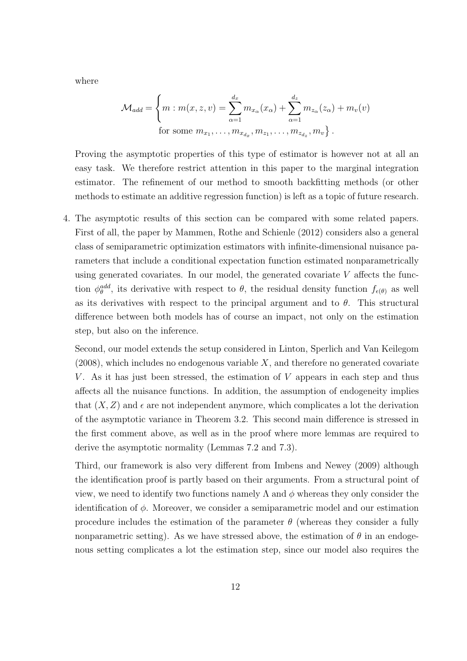where

$$
\mathcal{M}_{add} = \left\{ m : m(x, z, v) = \sum_{\alpha=1}^{d_x} m_{x_{\alpha}}(x_{\alpha}) + \sum_{\alpha=1}^{d_z} m_{z_{\alpha}}(z_{\alpha}) + m_v(v) \right\}
$$
  
for some  $m_{x_1}, \dots, m_{x_{d_x}}, m_{z_1}, \dots, m_{z_{d_z}}, m_v \right\}.$ 

Proving the asymptotic properties of this type of estimator is however not at all an easy task. We therefore restrict attention in this paper to the marginal integration estimator. The refinement of our method to smooth backfitting methods (or other methods to estimate an additive regression function) is left as a topic of future research.

4. The asymptotic results of this section can be compared with some related papers. First of all, the paper by Mammen, Rothe and Schienle (2012) considers also a general class of semiparametric optimization estimators with infinite-dimensional nuisance parameters that include a conditional expectation function estimated nonparametrically using generated covariates. In our model, the generated covariate *V* affects the function  $\phi_{\theta}^{add}$ , its derivative with respect to  $\theta$ , the residual density function  $f_{\epsilon(\theta)}$  as well as its derivatives with respect to the principal argument and to  $\theta$ . This structural difference between both models has of course an impact, not only on the estimation step, but also on the inference.

Second, our model extends the setup considered in Linton, Sperlich and Van Keilegom (2008), which includes no endogenous variable *X*, and therefore no generated covariate *V*. As it has just been stressed, the estimation of *V* appears in each step and thus affects all the nuisance functions. In addition, the assumption of endogeneity implies that  $(X, Z)$  and  $\epsilon$  are not independent anymore, which complicates a lot the derivation of the asymptotic variance in Theorem 3.2. This second main difference is stressed in the first comment above, as well as in the proof where more lemmas are required to derive the asymptotic normality (Lemmas 7.2 and 7.3).

Third, our framework is also very different from Imbens and Newey (2009) although the identification proof is partly based on their arguments. From a structural point of view, we need to identify two functions namely  $\Lambda$  and  $\phi$  whereas they only consider the identification of *ϕ*. Moreover, we consider a semiparametric model and our estimation procedure includes the estimation of the parameter  $\theta$  (whereas they consider a fully nonparametric setting). As we have stressed above, the estimation of  $\theta$  in an endogenous setting complicates a lot the estimation step, since our model also requires the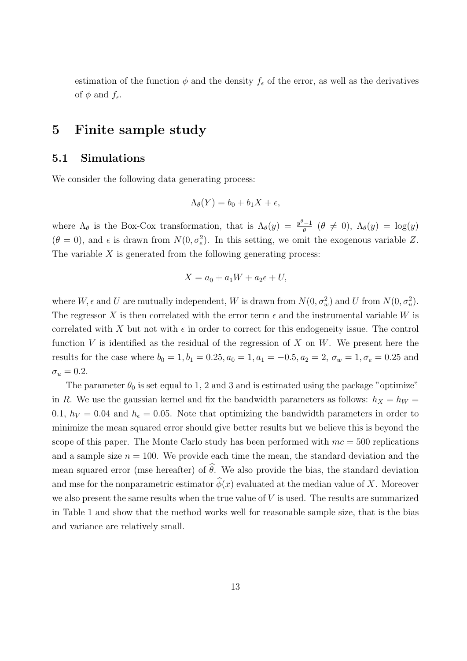estimation of the function  $\phi$  and the density  $f_{\epsilon}$  of the error, as well as the derivatives of  $\phi$  and  $f_{\epsilon}$ .

## **5 Finite sample study**

#### **5.1 Simulations**

We consider the following data generating process:

$$
\Lambda_{\theta}(Y) = b_0 + b_1 X + \epsilon,
$$

where  $\Lambda_{\theta}$  is the Box-Cox transformation, that is  $\Lambda_{\theta}(y) = \frac{y^{\theta}-1}{\theta}$  ( $\theta \neq 0$ ),  $\Lambda_{\theta}(y) = \log(y)$  $(\theta = 0)$ , and  $\epsilon$  is drawn from  $N(0, \sigma_e^2)$ . In this setting, we omit the exogenous variable *Z*. The variable *X* is generated from the following generating process:

$$
X = a_0 + a_1W + a_2\epsilon + U,
$$

where  $W$ ,  $\epsilon$  and  $U$  are mutually independent,  $W$  is drawn from  $N(0, \sigma_w^2)$  and  $U$  from  $N(0, \sigma_u^2)$ . The regressor X is then correlated with the error term  $\epsilon$  and the instrumental variable W is correlated with *X* but not with  $\epsilon$  in order to correct for this endogeneity issue. The control function *V* is identified as the residual of the regression of *X* on *W*. We present here the results for the case where  $b_0 = 1, b_1 = 0.25, a_0 = 1, a_1 = -0.5, a_2 = 2, \sigma_w = 1, \sigma_e = 0.25$  and  $\sigma_u = 0.2$ .

The parameter  $\theta_0$  is set equal to 1, 2 and 3 and is estimated using the package "optimize" in *R*. We use the gaussian kernel and fix the bandwidth parameters as follows:  $h_X = h_W =$ 0.1,  $h_V = 0.04$  and  $h_\epsilon = 0.05$ . Note that optimizing the bandwidth parameters in order to minimize the mean squared error should give better results but we believe this is beyond the scope of this paper. The Monte Carlo study has been performed with *mc* = 500 replications and a sample size  $n = 100$ . We provide each time the mean, the standard deviation and the mean squared error (mse hereafter) of  $\hat{\theta}$ . We also provide the bias, the standard deviation and mse for the nonparametric estimator  $\hat{\phi}(x)$  evaluated at the median value of *X*. Moreover we also present the same results when the true value of *V* is used. The results are summarized in Table 1 and show that the method works well for reasonable sample size, that is the bias and variance are relatively small.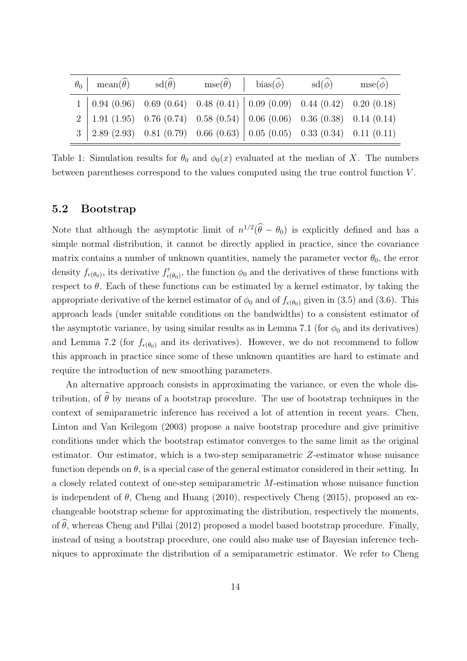|  | $\theta_0$ mean( $\widehat{\theta}$ ) sd( $\widehat{\theta}$ ) mse( $\widehat{\theta}$ ) bias( $\widehat{\phi}$ ) sd( $\widehat{\phi}$ ) |  | $\text{mse}(\widehat{\phi})$ |
|--|------------------------------------------------------------------------------------------------------------------------------------------|--|------------------------------|
|  | $1   0.94 (0.96) 0.69 (0.64) 0.48 (0.41)   0.09 (0.09) 0.44 (0.42) 0.20 (0.18)$                                                          |  |                              |
|  | $2   1.91 (1.95) 0.76 (0.74) 0.58 (0.54)   0.06 (0.06) 0.36 (0.38) 0.14 (0.14)$                                                          |  |                              |
|  | $3 \mid 2.89 \ (2.93) \quad 0.81 \ (0.79) \quad 0.66 \ (0.63) \mid 0.05 \ (0.05) \quad 0.33 \ (0.34) \quad 0.11 \ (0.11)$                |  |                              |

Table 1: Simulation results for  $\theta_0$  and  $\phi_0(x)$  evaluated at the median of *X*. The numbers between parentheses correspond to the values computed using the true control function *V* .

#### **5.2 Bootstrap**

Note that although the asymptotic limit of  $n^{1/2}(\hat{\theta} - \theta_0)$  is explicitly defined and has a simple normal distribution, it cannot be directly applied in practice, since the covariance matrix contains a number of unknown quantities, namely the parameter vector  $\theta_0$ , the error density  $f_{\epsilon(\theta_0)}$ , its derivative  $f'_{\epsilon(\theta_0)}$ , the function  $\phi_0$  and the derivatives of these functions with respect to  $\theta$ . Each of these functions can be estimated by a kernel estimator, by taking the appropriate derivative of the kernel estimator of  $\phi_0$  and of  $f_{\epsilon(\theta_0)}$  given in (3.5) and (3.6). This approach leads (under suitable conditions on the bandwidths) to a consistent estimator of the asymptotic variance, by using similar results as in Lemma 7.1 (for  $\phi_0$  and its derivatives) and Lemma 7.2 (for  $f_{\epsilon(\theta_0)}$  and its derivatives). However, we do not recommend to follow this approach in practice since some of these unknown quantities are hard to estimate and require the introduction of new smoothing parameters.

An alternative approach consists in approximating the variance, or even the whole distribution, of  $\hat{\theta}$  by means of a bootstrap procedure. The use of bootstrap techniques in the context of semiparametric inference has received a lot of attention in recent years. Chen, Linton and Van Keilegom (2003) propose a naive bootstrap procedure and give primitive conditions under which the bootstrap estimator converges to the same limit as the original estimator. Our estimator, which is a two-step semiparametric *Z*-estimator whose nuisance function depends on  $\theta$ , is a special case of the general estimator considered in their setting. In a closely related context of one-step semiparametric *M*-estimation whose nuisance function is independent of  $\theta$ , Cheng and Huang (2010), respectively Cheng (2015), proposed an exchangeable bootstrap scheme for approximating the distribution, respectively the moments, of  $\hat{\theta}$ , whereas Cheng and Pillai (2012) proposed a model based bootstrap procedure. Finally, instead of using a bootstrap procedure, one could also make use of Bayesian inference techniques to approximate the distribution of a semiparametric estimator. We refer to Cheng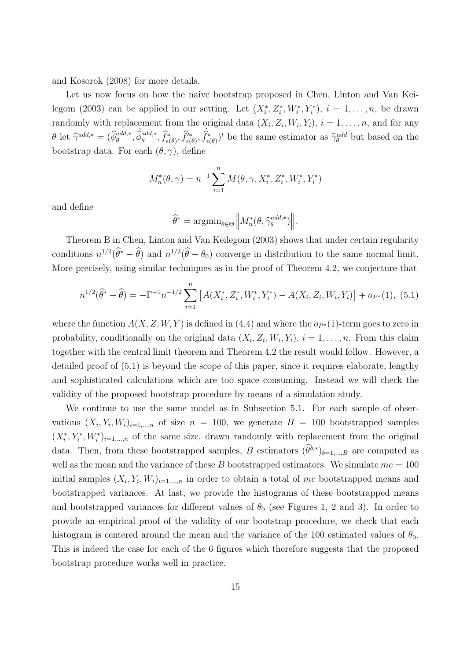and Kosorok (2008) for more details.

Let us now focus on how the naive bootstrap proposed in Chen, Linton and Van Keilegom (2003) can be applied in our setting. Let  $(X_i^*, Z_i^*, W_i^*, Y_i^*)$ ,  $i = 1, \ldots, n$ , be drawn randomly with replacement from the original data  $(X_i, Z_i, W_i, Y_i), i = 1, \ldots, n$ , and for any  $\theta$  let  $\hat{\gamma}^{add,*} = (\hat{\phi}_{\theta}^{add,*}, \hat{\phi}_{\theta}^{add,*}, \hat{f}_{\epsilon(\theta)}^*, \hat{f}_{\epsilon(\theta)}^*, \hat{f}_{\epsilon(\theta)}^*)^t$  be the same estimator as  $\hat{\gamma}_{\theta}^{add}$  but based on the bootstrap data. For each  $(\theta, \gamma)$ , define

$$
M_n^*(\theta, \gamma) = n^{-1} \sum_{i=1}^n M(\theta, \gamma, X_i^*, Z_i^*, W_i^*, Y_i^*)
$$

and define

$$
\widehat{\theta}^* = \mathrm{argmin}_{\theta \in \Theta} \left\| M_n^*(\theta, \widehat{\gamma}_{\theta}^{add,*}) \right\|.
$$

Theorem B in Chen, Linton and Van Keilegom (2003) shows that under certain regularity conditions  $n^{1/2}(\hat{\theta}^* - \hat{\theta})$  and  $n^{1/2}(\hat{\theta} - \theta_0)$  converge in distribution to the same normal limit. More precisely, using similar techniques as in the proof of Theorem 4.2, we conjecture that

$$
n^{1/2}(\widehat{\theta}^* - \widehat{\theta}) = -\Gamma^{-1} n^{-1/2} \sum_{i=1}^n \left[ A(X_i^*, Z_i^*, W_i^*, Y_i^*) - A(X_i, Z_i, W_i, Y_i) \right] + o_{P^*}(1), \tag{5.1}
$$

where the function  $A(X, Z, W, Y)$  is defined in (4.4) and where the  $o_{P*}(1)$ -term goes to zero in probability, conditionally on the original data  $(X_i, Z_i, W_i, Y_i)$ ,  $i = 1, \ldots, n$ . From this claim together with the central limit theorem and Theorem 4.2 the result would follow. However, a detailed proof of (5.1) is beyond the scope of this paper, since it requires elaborate, lengthy and sophisticated calculations which are too space consuming. Instead we will check the validity of the proposed bootstrap procedure by means of a simulation study.

We continue to use the same model as in Subsection 5.1. For each sample of observations  $(X_i, Y_i, W_i)_{i=1,\dots,n}$  of size  $n = 100$ , we generate  $B = 100$  bootstrapped samples  $(X_i^*, Y_i^*, W_i^*)_{i=1,\dots,n}$  of the same size, drawn randomly with replacement from the original data. Then, from these bootstrapped samples, *B* estimators  $(\hat{\theta}^{b,*})_{b=1,\dots,B}$  are computed as well as the mean and the variance of these  $B$  bootstrapped estimators. We simulate  $mc = 100$ initial samples  $(X_i, Y_i, W_i)_{i=1,\dots,n}$  in order to obtain a total of mc bootstrapped means and bootstrapped variances. At last, we provide the histograms of these bootstrapped means and bootstrapped variances for different values of  $\theta_0$  (see Figures 1, 2 and 3). In order to provide an empirical proof of the validity of our bootstrap procedure, we check that each histogram is centered around the mean and the variance of the 100 estimated values of  $\theta_0$ . This is indeed the case for each of the 6 figures which therefore suggests that the proposed bootstrap procedure works well in practice.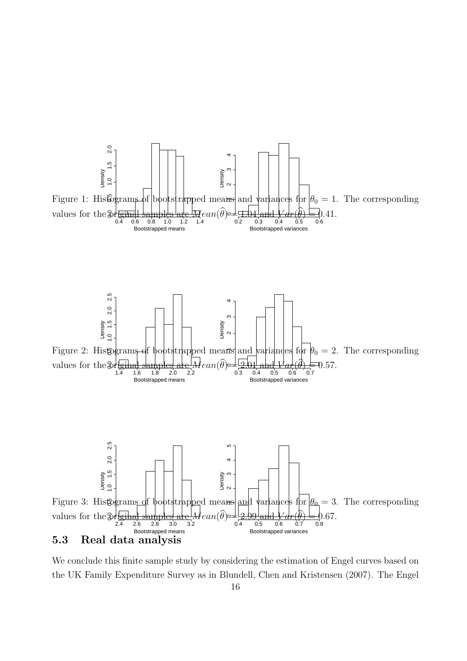

We conclude this finite sample study by considering the estimation of Engel curves based on the UK Family Expenditure Survey as in Blundell, Chen and Kristensen (2007). The Engel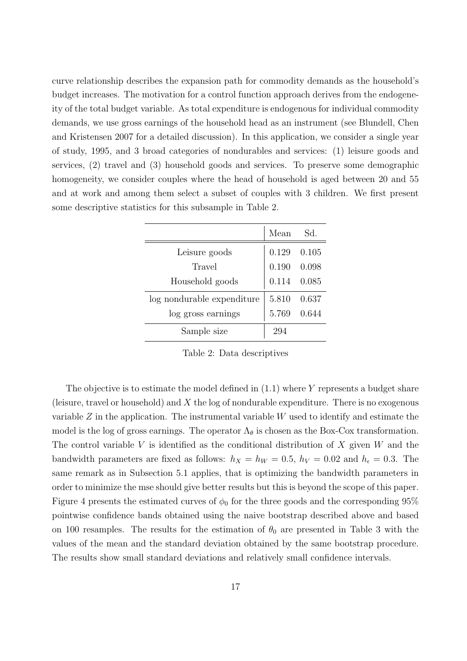curve relationship describes the expansion path for commodity demands as the household's budget increases. The motivation for a control function approach derives from the endogeneity of the total budget variable. As total expenditure is endogenous for individual commodity demands, we use gross earnings of the household head as an instrument (see Blundell, Chen and Kristensen 2007 for a detailed discussion). In this application, we consider a single year of study, 1995, and 3 broad categories of nondurables and services: (1) leisure goods and services, (2) travel and (3) household goods and services. To preserve some demographic homogeneity, we consider couples where the head of household is aged between 20 and 55 and at work and among them select a subset of couples with 3 children. We first present some descriptive statistics for this subsample in Table 2.

|                            | Mean                | Sd.   |
|----------------------------|---------------------|-------|
| Leisure goods              | $0.129$ $0.105$     |       |
| Travel                     | $0.190 \quad 0.098$ |       |
| Household goods            | $0.114$ $0.085$     |       |
| log nondurable expenditure | 5.810               | 0.637 |
| log gross earnings         | 5.769 0.644         |       |
| Sample size                | 294                 |       |

Table 2: Data descriptives

The objective is to estimate the model defined in (1.1) where *Y* represents a budget share (leisure, travel or household) and *X* the log of nondurable expenditure. There is no exogenous variable *Z* in the application. The instrumental variable *W* used to identify and estimate the model is the log of gross earnings. The operator  $\Lambda_{\theta}$  is chosen as the Box-Cox transformation. The control variable *V* is identified as the conditional distribution of *X* given *W* and the bandwidth parameters are fixed as follows:  $h_X = h_W = 0.5$ ,  $h_V = 0.02$  and  $h_\epsilon = 0.3$ . The same remark as in Subsection 5.1 applies, that is optimizing the bandwidth parameters in order to minimize the mse should give better results but this is beyond the scope of this paper. Figure 4 presents the estimated curves of  $\phi_0$  for the three goods and the corresponding 95% pointwise confidence bands obtained using the naive bootstrap described above and based on 100 resamples. The results for the estimation of  $\theta_0$  are presented in Table 3 with the values of the mean and the standard deviation obtained by the same bootstrap procedure. The results show small standard deviations and relatively small confidence intervals.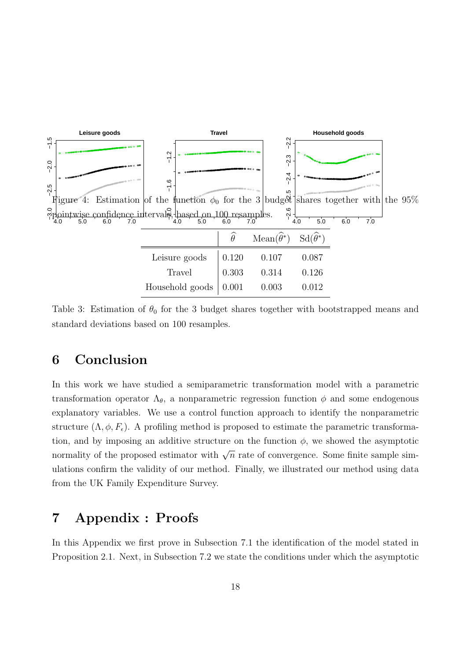

Table 3: Estimation of  $\theta_0$  for the 3 budget shares together with bootstrapped means and standard deviations based on 100 resamples.

## **6 Conclusion**

In this work we have studied a semiparametric transformation model with a parametric transformation operator Λ*θ*, a nonparametric regression function *ϕ* and some endogenous explanatory variables. We use a control function approach to identify the nonparametric structure  $(\Lambda, \phi, F_{\epsilon})$ . A profiling method is proposed to estimate the parametric transformation, and by imposing an additive structure on the function  $\phi$ , we showed the asymptotic normality of the proposed estimator with  $\sqrt{n}$  rate of convergence. Some finite sample simulations confirm the validity of our method. Finally, we illustrated our method using data from the UK Family Expenditure Survey.

## **7 Appendix : Proofs**

In this Appendix we first prove in Subsection 7.1 the identification of the model stated in Proposition 2.1. Next, in Subsection 7.2 we state the conditions under which the asymptotic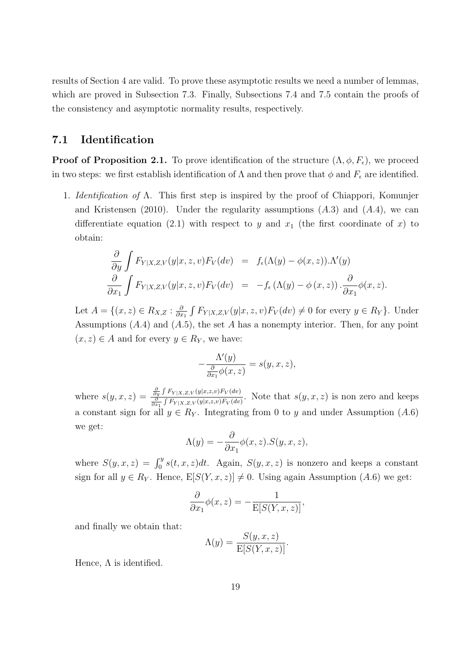results of Section 4 are valid. To prove these asymptotic results we need a number of lemmas, which are proved in Subsection 7.3. Finally, Subsections 7.4 and 7.5 contain the proofs of the consistency and asymptotic normality results, respectively.

#### **7.1 Identification**

**Proof of Proposition 2.1.** To prove identification of the structure  $(\Lambda, \phi, F_{\epsilon})$ , we proceed in two steps: we first establish identification of  $\Lambda$  and then prove that  $\phi$  and  $F_{\epsilon}$  are identified.

1. *Identification of* Λ. This first step is inspired by the proof of Chiappori, Komunjer and Kristensen (2010). Under the regularity assumptions (*A.*3) and (*A.*4), we can differentiate equation (2.1) with respect to *y* and  $x_1$  (the first coordinate of *x*) to obtain:

$$
\frac{\partial}{\partial y} \int F_{Y|X,Z,V}(y|x,z,v) F_V(dv) = f_{\epsilon}(\Lambda(y) - \phi(x,z)).\Lambda'(y)
$$
  

$$
\frac{\partial}{\partial x_1} \int F_{Y|X,Z,V}(y|x,z,v) F_V(dv) = -f_{\epsilon}(\Lambda(y) - \phi(x,z)).\frac{\partial}{\partial x_1} \phi(x,z).
$$

Let  $A = \{(x, z) \in R_{X,Z} : \frac{\partial}{\partial x}$  $\frac{\partial}{\partial x_1}$  ∫  $F_{Y|X,Z,V}(y|x,z,v)F_V(dv) \neq 0$  for every  $y \in R_Y$ }. Under Assumptions (*A.*4) and (*A.*5), the set *A* has a nonempty interior. Then, for any point  $(x, z)$  ∈ *A* and for every  $y$  ∈  $R_Y$ , we have:

$$
-\frac{\Lambda'(y)}{\frac{\partial}{\partial x_1}\phi(x,z)} = s(y,x,z),
$$

where  $s(y, x, z) = \frac{\frac{\partial y}{\partial y} \int F_{Y|X, Z, V}(y|x, z, v) F_V(dv)}{\frac{\partial}{\partial x_1} \int F_{Y|X, Z, V}(y|x, z, v) F_V(dv)}$ . Note that  $s(y, x, z)$  is non zero and keeps a constant sign for all  $y \in R_Y$ . Integrating from 0 to *y* and under Assumption (*A.*6) we get:

$$
\Lambda(y) = -\frac{\partial}{\partial x_1} \phi(x, z) . S(y, x, z),
$$

where  $S(y, x, z) = \int_0^y s(t, x, z) dt$ . Again,  $S(y, x, z)$  is nonzero and keeps a constant sign for all  $y \in R_Y$ . Hence,  $E[S(Y, x, z)] \neq 0$ . Using again Assumption (*A.*6) we get:

$$
\frac{\partial}{\partial x_1}\phi(x,z) = -\frac{1}{\mathbb{E}[S(Y,x,z)]},
$$

and finally we obtain that:

$$
\Lambda(y) = \frac{S(y, x, z)}{\mathbb{E}[S(Y, x, z)]}.
$$

Hence,  $\Lambda$  is identified.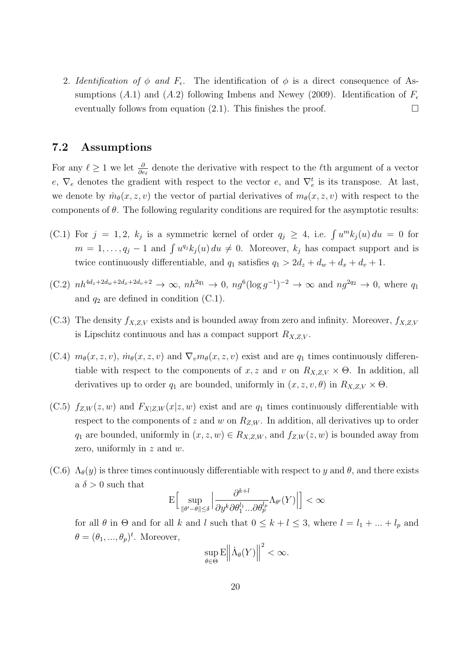2. *Identification of*  $\phi$  *and*  $F_{\epsilon}$ . The identification of  $\phi$  is a direct consequence of Assumptions (*A.*1) and (*A.2*) following Imbens and Newey (2009). Identification of  $F_{\epsilon}$ eventually follows from equation (2.1). This finishes the proof.  $\Box$ 

#### **7.2 Assumptions**

For any  $\ell \geq 1$  we let  $\frac{\partial}{\partial e_{\ell}}$  denote the derivative with respect to the  $\ell$ <sup>th</sup> argument of a vector *e*,  $\nabla_e$  denotes the gradient with respect to the vector *e*, and  $\nabla_e^t$  is its transpose. At last, we denote by  $\dot{m}_{\theta}(x, z, v)$  the vector of partial derivatives of  $m_{\theta}(x, z, v)$  with respect to the components of  $\theta$ . The following regularity conditions are required for the asymptotic results:

- (C.1) For  $j = 1, 2, k_j$  is a symmetric kernel of order  $q_j \geq 4$ , i.e.  $\int u^m k_j(u) du = 0$  for  $m = 1, \ldots, q_j - 1$  and  $\int u^{q_j} k_j(u) du \neq 0$ . Moreover,  $k_j$  has compact support and is twice continuously differentiable, and  $q_1$  satisfies  $q_1 > 2d_z + d_w + d_x + d_v + 1$ .
- $(C.2)$   $nh^{4d_z+2d_w+2d_x+2d_v+2} \to \infty$ ,  $nh^{2q_1} \to 0$ ,  $ng^6(\log g^{-1})^{-2} \to \infty$  and  $ng^{2q_2} \to 0$ , where  $q_1$ and  $q_2$  are defined in condition  $(C.1)$ .
- $(C.3)$  The density  $f_{X,Z,V}$  exists and is bounded away from zero and infinity. Moreover,  $f_{X,Z,V}$ is Lipschitz continuous and has a compact support  $R_{X,Z,V}$ .
- (C.4)  $m_{\theta}(x, z, v)$ ,  $\dot{m}_{\theta}(x, z, v)$  and  $\nabla_v m_{\theta}(x, z, v)$  exist and are  $q_1$  times continuously differentiable with respect to the components of *x*, *z* and *v* on  $R_{X,Z,V}$   $\times$   $\Theta$ . In addition, all derivatives up to order  $q_1$  are bounded, uniformly in  $(x, z, v, \theta)$  in  $R_{X, Z, V} \times \Theta$ .
- $(C.5)$   $f_{Z,W}(z,w)$  and  $F_{X|Z,W}(x|z,w)$  exist and are  $q_1$  times continuously differentiable with respect to the components of *z* and *w* on *RZ,W* . In addition, all derivatives up to order *q*<sub>1</sub> are bounded, uniformly in  $(x, z, w) \in R_{X, Z, W}$ , and  $f_{Z, W}(z, w)$  is bounded away from zero, uniformly in *z* and *w*.
- $(C.6)$   $\Lambda_{\theta}(y)$  is three times continuously differentiable with respect to *y* and  $\theta$ , and there exists a  $\delta > 0$  such that *k*+*l*

$$
\mathcal{E}\Big[\sup_{\|\theta' - \theta\| \le \delta} \Big| \frac{\partial^{k+l}}{\partial y^k \partial \theta_1^{l_1} \dots \partial \theta_p^{l_p}} \Lambda_{\theta'}(Y) \Big| \Big] < \infty
$$

for all  $\theta$  in  $\Theta$  and for all  $k$  and  $l$  such that  $0 \leq k + l \leq 3$ , where  $l = l_1 + ... + l_p$  and  $\theta = (\theta_1, ..., \theta_p)^t$ . Moreover,  $\overline{2}$ 

$$
\sup_{\theta \in \Theta} \mathcal{E} \left\| \dot{\Lambda}_{\theta}(Y) \right\|^{2} < \infty.
$$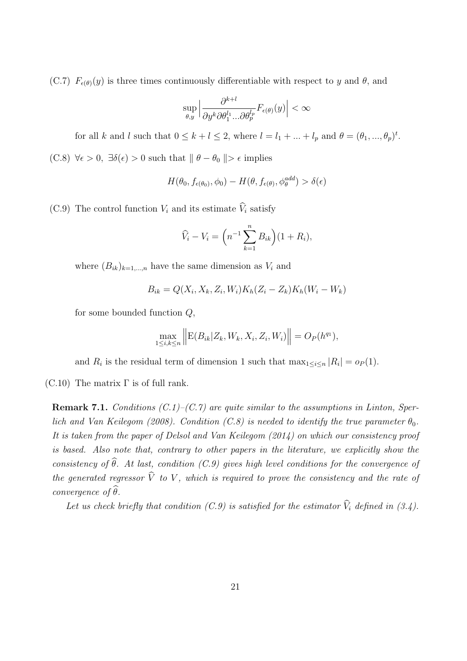(C.7)  $F_{\epsilon(\theta)}(y)$  is three times continuously differentiable with respect to *y* and  $\theta$ , and

$$
\sup_{\theta,y} \Big| \frac{\partial^{k+l}}{\partial y^k \partial \theta_1^{l_1} \dots \partial \theta_p^{l_p}} F_{\epsilon(\theta)}(y) \Big| < \infty
$$

for all *k* and *l* such that  $0 \le k + l \le 2$ , where  $l = l_1 + ... + l_p$  and  $\theta = (\theta_1, ..., \theta_p)^t$ . (C.8)  $\forall \epsilon > 0$ ,  $\exists \delta(\epsilon) > 0$  such that  $\|\theta - \theta_0\| > \epsilon$  implies

$$
H(\theta_0, f_{\epsilon(\theta_0)}, \phi_0) - H(\theta, f_{\epsilon(\theta)}, \phi_{\theta}^{\text{add}}) > \delta(\epsilon)
$$

(C.9) The control function  $V_i$  and its estimate  $\hat{V}_i$  satisfy

$$
\widehat{V}_i - V_i = \left( n^{-1} \sum_{k=1}^n B_{ik} \right) (1 + R_i),
$$

where  $(B_{ik})_{k=1,\dots,n}$  have the same dimension as  $V_i$  and

$$
B_{ik} = Q(X_i, X_k, Z_i, W_i) K_h (Z_i - Z_k) K_h (W_i - W_k)
$$

for some bounded function *Q*,

$$
\max_{1 \le i,k \le n} \left\| E(B_{ik}|Z_k, W_k, X_i, Z_i, W_i) \right\| = O_P(h^{q_1}),
$$

and  $R_i$  is the residual term of dimension 1 such that  $\max_{1 \leq i \leq n} |R_i| = o_P(1)$ .

(C.10) The matrix  $\Gamma$  is of full rank.

**Remark 7.1.** *Conditions (C.1)–(C.7) are quite similar to the assumptions in Linton, Sperlich and Van Keilegom (2008). Condition (C.8) is needed to identify the true parameter*  $\theta_0$ . *It is taken from the paper of Delsol and Van Keilegom (2014) on which our consistency proof is based. Also note that, contrary to other papers in the literature, we explicitly show the consistency of*  $\widehat{\theta}$ *. At last, condition (C.9) gives high level conditions for the convergence of the generated regressor*  $\widehat{V}$  *to V*, which is required to prove the consistency and the rate of *convergence* of  $\widehat{\theta}$ *.* 

Let us check briefly that condition  $(C.9)$  is satisfied for the estimator  $\hat{V}_i$  defined in (3.4).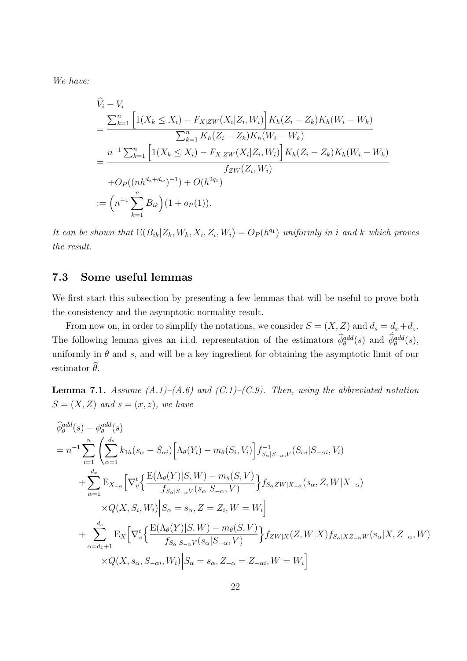*We have:*

$$
\hat{V}_i - V_i
$$
\n
$$
= \frac{\sum_{k=1}^n \left[ 1(X_k \le X_i) - F_{X|ZW}(X_i|Z_i, W_i) \right] K_h(Z_i - Z_k) K_h(W_i - W_k)}{\sum_{k=1}^n K_h(Z_i - Z_k) K_h(W_i - W_k)}
$$
\n
$$
= \frac{n^{-1} \sum_{k=1}^n \left[ 1(X_k \le X_i) - F_{X|ZW}(X_i|Z_i, W_i) \right] K_h(Z_i - Z_k) K_h(W_i - W_k)}{f_{ZW}(Z_i, W_i)}
$$
\n
$$
+ O_P((nh^{d_x + d_w})^{-1}) + O(h^{2q_1})
$$
\n
$$
:= \left( n^{-1} \sum_{k=1}^n B_{ik} \right) (1 + o_P(1)).
$$

It can be shown that  $E(B_{ik}|Z_k, W_k, X_i, Z_i, W_i) = O_P(h^{q_1})$  uniformly in i and k which proves *the result.*

### **7.3 Some useful lemmas**

We first start this subsection by presenting a few lemmas that will be useful to prove both the consistency and the asymptotic normality result.

From now on, in order to simplify the notations, we consider  $S = (X, Z)$  and  $d_s = d_x + d_z$ . The following lemma gives an i.i.d. representation of the estimators  $\hat{\phi}_{\theta}^{add}(s)$  and  $\hat{\phi}_{\theta}^{add}(s)$ , uniformly in  $\theta$  and  $s$ , and will be a key ingredient for obtaining the asymptotic limit of our estimator  $\widehat{\theta}$ .

**Lemma 7.1.** *Assume*  $(A.1)$ *–* $(A.6)$  *and*  $(C.1)$ *–* $(C.9)$ *. Then, using the abbreviated notation*  $S = (X, Z)$  *and*  $s = (x, z)$ *, we have* 

$$
\begin{split}\n\widehat{\phi}_{\theta}^{add}(s) - \phi_{\theta}^{add}(s) \\
= n^{-1} \sum_{i=1}^{n} \left( \sum_{\alpha=1}^{d_s} k_{1h}(s_{\alpha} - S_{\alpha i}) \Big[ \Lambda_{\theta}(Y_i) - m_{\theta}(S_i, V_i) \Big] f_{S_{\alpha}|S_{-\alpha}, V}^{-1}(S_{\alpha i}|S_{-\alpha i}, V_i) \right. \\
\left. + \sum_{\alpha=1}^{d_x} \mathbb{E}_{X_{-\alpha}} \Big[ \nabla_v^t \Big\{ \frac{\mathbb{E}(\Lambda_{\theta}(Y)|S, W) - m_{\theta}(S, V)}{f_{S_{\alpha}|S_{-\alpha}, V}(s_{\alpha}|S_{-\alpha}, V)} \Big\} f_{S_{\alpha}ZW|X_{-\alpha}}(s_{\alpha}, Z, W|X_{-\alpha}) \right. \\
&\times Q(X, S_i, W_i) \Big| S_{\alpha} = s_{\alpha}, Z = Z_i, W = W_i \Big] \\
&+ \sum_{\alpha=d_x+1}^{d_s} \mathbb{E}_{X} \Big[ \nabla_v^t \Big\{ \frac{\mathbb{E}(\Lambda_{\theta}(Y)|S, W) - m_{\theta}(S, V)}{f_{S_{\alpha}|S_{-\alpha}, V}(s_{\alpha}|S_{-\alpha}, V)} \Big\} f_{ZW|X}(Z, W|X) f_{S_{\alpha}|XZ_{-\alpha}W}(s_{\alpha}|X, Z_{-\alpha}, W) \\
&\times Q(X, s_{\alpha}, S_{-\alpha i}, W_i) \Big| S_{\alpha} = s_{\alpha}, Z_{-\alpha} = Z_{-\alpha i}, W = W_i \Big]\n\end{split}
$$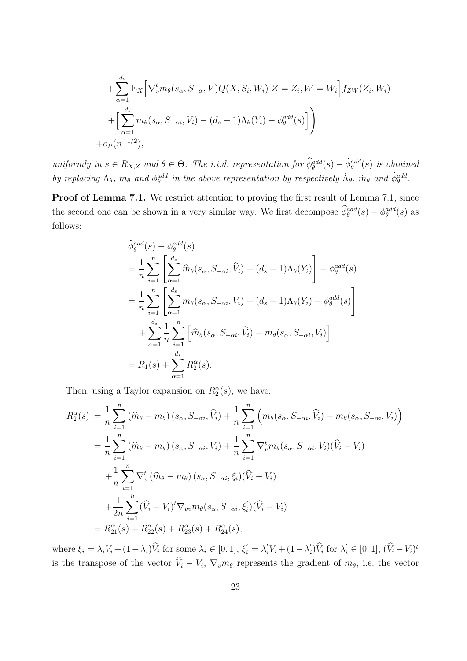+
$$
\sum_{\alpha=1}^{d_s} \mathbf{E}_X \Big[ \nabla_v^t m_\theta(s_\alpha, S_{-\alpha}, V) Q(X, S_i, W_i) \Big| Z = Z_i, W = W_i \Big] f_{ZW}(Z_i, W_i)
$$
  
+
$$
\Big[ \sum_{\alpha=1}^{d_s} m_\theta(s_\alpha, S_{-\alpha i}, V_i) - (d_s - 1) \Lambda_\theta(Y_i) - \phi_\theta^{add}(s) \Big] \Big)
$$
  
+
$$
o_P(n^{-1/2}),
$$

uniformly in  $s \in R_{X,Z}$  and  $\theta \in \Theta$ . The i.i.d. representation for  $\hat{\phi}_{\theta}^{add}(s) - \dot{\phi}_{\theta}^{add}(s)$  is obtained by replacing  $\Lambda_{\theta}$ ,  $m_{\theta}$  and  $\phi_{\theta}^{add}$  in the above representation by respectively  $\dot{\Lambda}_{\theta}$ ,  $\dot{m}_{\theta}$  and  $\dot{\phi}_{\theta}^{add}$ .

Proof of Lemma 7.1. We restrict attention to proving the first result of Lemma 7.1, since the second one can be shown in a very similar way. We first decompose  $\phi_{\theta}^{add}(s) - \phi_{\theta}^{add}(s)$  as follows:

$$
\hat{\phi}_{\theta}^{add}(s) - \phi_{\theta}^{add}(s)
$$
\n
$$
= \frac{1}{n} \sum_{i=1}^{n} \left[ \sum_{\alpha=1}^{d_s} \hat{m}_{\theta}(s_{\alpha}, S_{-\alpha i}, \hat{V}_i) - (d_s - 1) \Lambda_{\theta}(Y_i) \right] - \phi_{\theta}^{add}(s)
$$
\n
$$
= \frac{1}{n} \sum_{i=1}^{n} \left[ \sum_{\alpha=1}^{d_s} m_{\theta}(s_{\alpha}, S_{-\alpha i}, V_i) - (d_s - 1) \Lambda_{\theta}(Y_i) - \phi_{\theta}^{add}(s) \right]
$$
\n
$$
+ \sum_{\alpha=1}^{d_s} \frac{1}{n} \sum_{i=1}^{n} \left[ \hat{m}_{\theta}(s_{\alpha}, S_{-\alpha i}, \hat{V}_i) - m_{\theta}(s_{\alpha}, S_{-\alpha i}, V_i) \right]
$$
\n
$$
= R_1(s) + \sum_{\alpha=1}^{d_s} R_2^{\alpha}(s).
$$

Then, using a Taylor expansion on  $R_2^{\alpha}(s)$ , we have:

$$
R_2^{\alpha}(s) = \frac{1}{n} \sum_{i=1}^n (\widehat{m}_{\theta} - m_{\theta}) (s_{\alpha}, S_{-\alpha i}, \widehat{V}_i) + \frac{1}{n} \sum_{i=1}^n \left( m_{\theta}(s_{\alpha}, S_{-\alpha i}, \widehat{V}_i) - m_{\theta}(s_{\alpha}, S_{-\alpha i}, V_i) \right)
$$
  
\n
$$
= \frac{1}{n} \sum_{i=1}^n (\widehat{m}_{\theta} - m_{\theta}) (s_{\alpha}, S_{-\alpha i}, V_i) + \frac{1}{n} \sum_{i=1}^n \nabla_v^t m_{\theta}(s_{\alpha}, S_{-\alpha i}, V_i) (\widehat{V}_i - V_i)
$$
  
\n
$$
+ \frac{1}{n} \sum_{i=1}^n \nabla_v^t (\widehat{m}_{\theta} - m_{\theta}) (s_{\alpha}, S_{-\alpha i}, \xi_i) (\widehat{V}_i - V_i)
$$
  
\n
$$
+ \frac{1}{2n} \sum_{i=1}^n (\widehat{V}_i - V_i)^t \nabla_{vv} m_{\theta}(s_{\alpha}, S_{-\alpha i}, \xi'_i) (\widehat{V}_i - V_i)
$$
  
\n
$$
= R_2^{\alpha}(s) + R_2^{\alpha}(s) + R_2^{\alpha}(s) + R_2^{\alpha}(s) + R_2^{\alpha}(s),
$$

where  $\xi_i = \lambda_i V_i + (1 - \lambda_i) \hat{V}_i$  for some  $\lambda_i \in [0, 1], \xi'_i = \lambda'_i V_i + (1 - \lambda'_i) \hat{V}_i$  for  $\lambda'_i \in [0, 1], (\hat{V}_i - V_i)^t$ is the transpose of the vector  $V_i - V_i$ ,  $\nabla_v m_\theta$  represents the gradient of  $m_\theta$ , i.e. the vector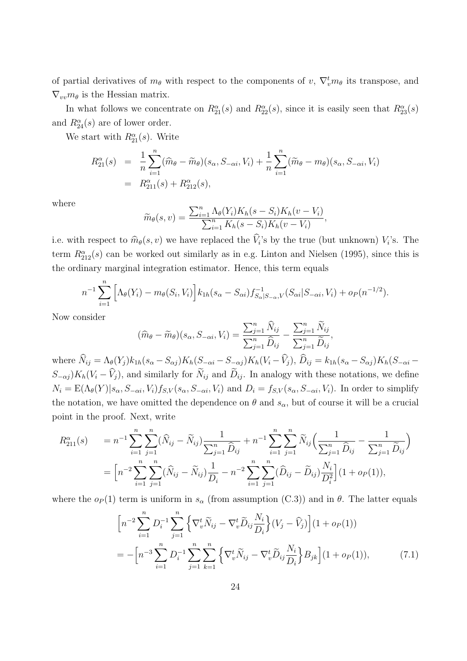of partial derivatives of  $m_\theta$  with respect to the components of  $v$ ,  $\nabla_v^t m_\theta$  its transpose, and  $\nabla_{vv} m_{\theta}$  is the Hessian matrix.

In what follows we concentrate on  $R_{21}^{\alpha}(s)$  and  $R_{22}^{\alpha}(s)$ , since it is easily seen that  $R_{23}^{\alpha}(s)$ and  $R_{24}^{\alpha}(s)$  are of lower order.

We start with  $R_{21}^{\alpha}(s)$ . Write

$$
R_{21}^{\alpha}(s) = \frac{1}{n} \sum_{i=1}^{n} (\widehat{m}_{\theta} - \widetilde{m}_{\theta})(s_{\alpha}, S_{-\alpha i}, V_i) + \frac{1}{n} \sum_{i=1}^{n} (\widetilde{m}_{\theta} - m_{\theta})(s_{\alpha}, S_{-\alpha i}, V_i)
$$
  
=  $R_{211}^{\alpha}(s) + R_{212}^{\alpha}(s),$ 

where

$$
\widetilde{m}_{\theta}(s,v) = \frac{\sum_{i=1}^{n} \Lambda_{\theta}(Y_i) K_h(s-S_i) K_h(v-V_i)}{\sum_{i=1}^{n} K_h(s-S_i) K_h(v-V_i)},
$$

i.e. with respect to  $\hat{m}_{\theta}(s, v)$  we have replaced the *V*<sub>i</sub>'s by the true (but unknown) *V*<sub>i</sub>'s. The term  $R_{212}^{\alpha}(s)$  can be worked out similarly as in e.g. Linton and Nielsen (1995), since this is the ordinary marginal integration estimator. Hence, this term equals

$$
n^{-1} \sum_{i=1}^{n} \left[ \Lambda_{\theta}(Y_i) - m_{\theta}(S_i, V_i) \right] k_{1h}(s_{\alpha} - S_{\alpha i}) f_{S_{\alpha}|S_{-\alpha}, V}^{-1}(S_{\alpha i}|S_{-\alpha i}, V_i) + o_P(n^{-1/2}).
$$

Now consider

$$
(\widehat{m}_{\theta} - \widetilde{m}_{\theta})(s_{\alpha}, S_{-\alpha i}, V_i) = \frac{\sum_{j=1}^n \widehat{N}_{ij}}{\sum_{j=1}^n \widehat{D}_{ij}} - \frac{\sum_{j=1}^n \widetilde{N}_{ij}}{\sum_{j=1}^n \widetilde{D}_{ij}},
$$

where  $\hat{N}_{ij} = \Lambda_{\theta}(Y_j) k_{1h}(s_{\alpha} - S_{\alpha j}) K_h(S_{-\alpha i} - S_{-\alpha j}) K_h(Y_i - \hat{V}_j), \hat{D}_{ij} = k_{1h}(s_{\alpha} - S_{\alpha j}) K_h(S_{-\alpha i} - S_{\alpha j}) K_h(Y_i - \hat{V}_j)$  $S$ <sup>*−*</sup> $\alpha$ <sup>*j*</sup> ), and similarly for  $\widetilde{N}_{ij}$  and  $\widetilde{D}_{ij}$ . In analogy with these notations, we define  $N_i = E(\Lambda_{\theta}(Y)|s_{\alpha}, S_{-\alpha i}, V_i)f_{S,V}(s_{\alpha}, S_{-\alpha i}, V_i)$  and  $D_i = f_{S,V}(s_{\alpha}, S_{-\alpha i}, V_i)$ . In order to simplify the notation, we have omitted the dependence on  $\theta$  and  $s_{\alpha}$ , but of course it will be a crucial point in the proof. Next, write

$$
R_{211}^{\alpha}(s) = n^{-1} \sum_{i=1}^{n} \sum_{j=1}^{n} (\widehat{N}_{ij} - \widetilde{N}_{ij}) \frac{1}{\sum_{j=1}^{n} \widehat{D}_{ij}} + n^{-1} \sum_{i=1}^{n} \sum_{j=1}^{n} \widetilde{N}_{ij} \left( \frac{1}{\sum_{j=1}^{n} \widehat{D}_{ij}} - \frac{1}{\sum_{j=1}^{n} \widehat{D}_{ij}} \right)
$$
  
= 
$$
\left[ n^{-2} \sum_{i=1}^{n} \sum_{j=1}^{n} (\widehat{N}_{ij} - \widetilde{N}_{ij}) \frac{1}{D_i} - n^{-2} \sum_{i=1}^{n} \sum_{j=1}^{n} (\widehat{D}_{ij} - \widetilde{D}_{ij}) \frac{N_i}{D_i^2} \right] (1 + o_P(1)),
$$

where the  $o_P(1)$  term is uniform in  $s_\alpha$  (from assumption (C.3)) and in  $\theta$ . The latter equals

$$
\left[n^{-2}\sum_{i=1}^{n}D_{i}^{-1}\sum_{j=1}^{n}\left\{\nabla_{v}^{t}\widetilde{N}_{ij}-\nabla_{v}^{t}\widetilde{D}_{ij}\frac{N_{i}}{D_{i}}\right\}(V_{j}-\widehat{V}_{j})\right](1+o_{P}(1))
$$
\n
$$
=-\left[n^{-3}\sum_{i=1}^{n}D_{i}^{-1}\sum_{j=1}^{n}\sum_{k=1}^{n}\left\{\nabla_{v}^{t}\widetilde{N}_{ij}-\nabla_{v}^{t}\widetilde{D}_{ij}\frac{N_{i}}{D_{i}}\right\}B_{jk}\right](1+o_{P}(1)),\tag{7.1}
$$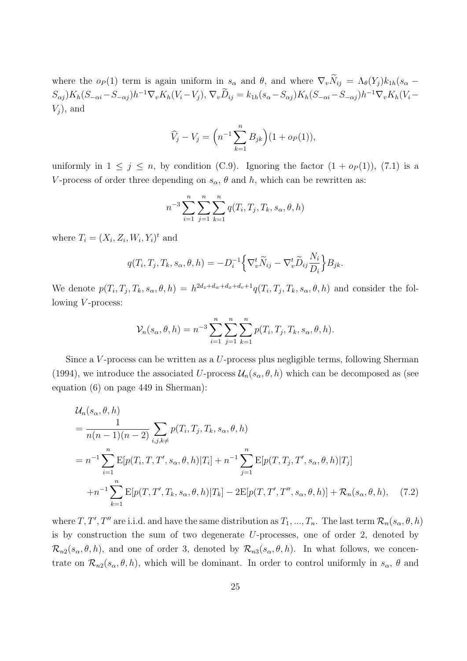where the  $o_P(1)$  term is again uniform in  $s_\alpha$  and  $\theta$ , and where  $\nabla_v \widetilde{N}_{ij} = \Lambda_\theta(Y_i) k_{1h}(s_\alpha - \theta_i)$  $S_{\alpha j}K_h(S_{-\alpha i}-S_{-\alpha j})h^{-1}\nabla_v K_h(V_i-V_j), \nabla_v D_{ij}=k_{1h}(s_{\alpha}-S_{\alpha j})K_h(S_{-\alpha i}-S_{-\alpha j})h^{-1}\nabla_v K_h(V_i-V_j)$ *V<sup>j</sup>* ), and

$$
\widehat{V}_j - V_j = \left( n^{-1} \sum_{k=1}^n B_{jk} \right) (1 + o_P(1)),
$$

uniformly in  $1 \leq j \leq n$ , by condition (C.9). Ignoring the factor  $(1 + o_P(1))$ , (7.1) is a *V*-process of order three depending on  $s_\alpha$ ,  $\theta$  and  $h$ , which can be rewritten as:

$$
n^{-3} \sum_{i=1}^{n} \sum_{j=1}^{n} \sum_{k=1}^{n} q(T_i, T_j, T_k, s_\alpha, \theta, h)
$$

where  $T_i = (X_i, Z_i, W_i, Y_i)^t$  and

$$
q(T_i, T_j, T_k, s_\alpha, \theta, h) = -D_i^{-1} \Big\{ \nabla_v^t \widetilde{N}_{ij} - \nabla_v^t \widetilde{D}_{ij} \frac{N_i}{D_i} \Big\} B_{jk}.
$$

We denote  $p(T_i, T_j, T_k, s_\alpha, \theta, h) = h^{2d_z+d_w+d_x+d_v+1} q(T_i, T_j, T_k, s_\alpha, \theta, h)$  and consider the following *V* -process:

$$
\mathcal{V}_n(s_\alpha, \theta, h) = n^{-3} \sum_{i=1}^n \sum_{j=1}^n \sum_{k=1}^n p(T_i, T_j, T_k, s_\alpha, \theta, h).
$$

Since a *V* -process can be written as a *U*-process plus negligible terms, following Sherman (1994), we introduce the associated *U*-process  $\mathcal{U}_n(s_\alpha, \theta, h)$  which can be decomposed as (see equation (6) on page 449 in Sherman):

$$
\mathcal{U}_n(s_\alpha, \theta, h)
$$
\n
$$
= \frac{1}{n(n-1)(n-2)} \sum_{i,j,k \neq} p(T_i, T_j, T_k, s_\alpha, \theta, h)
$$
\n
$$
= n^{-1} \sum_{i=1}^n \mathbb{E}[p(T_i, T, T', s_\alpha, \theta, h) | T_i] + n^{-1} \sum_{j=1}^n \mathbb{E}[p(T_i, T_j, T', s_\alpha, \theta, h) | T_j]
$$
\n
$$
+ n^{-1} \sum_{k=1}^n \mathbb{E}[p(T_i, T', T_k, s_\alpha, \theta, h) | T_k] - 2\mathbb{E}[p(T_i, T', T'', s_\alpha, \theta, h)] + \mathcal{R}_n(s_\alpha, \theta, h), \quad (7.2)
$$

where  $T, T', T''$  are i.i.d. and have the same distribution as  $T_1, ..., T_n$ . The last term  $\mathcal{R}_n(s_\alpha, \theta, h)$ is by construction the sum of two degenerate *U*-processes, one of order 2, denoted by  $\mathcal{R}_{n2}(s_{\alpha},\theta,h)$ , and one of order 3, denoted by  $\mathcal{R}_{n3}(s_{\alpha},\theta,h)$ . In what follows, we concentrate on  $\mathcal{R}_{n2}(s_{\alpha},\theta,h)$ , which will be dominant. In order to control uniformly in  $s_{\alpha}$ ,  $\theta$  and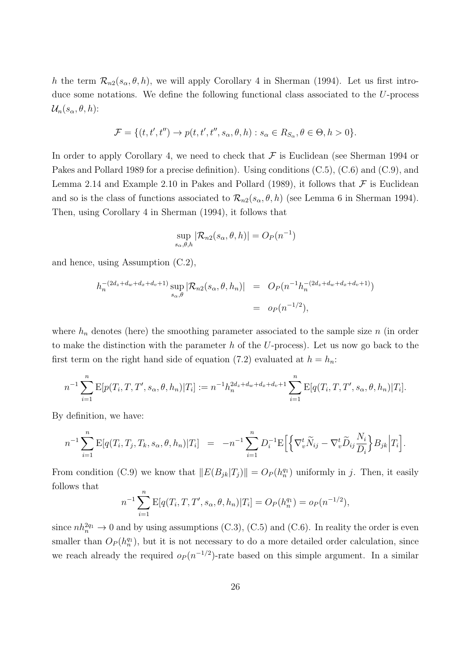*h* the term  $\mathcal{R}_{n2}(s_{\alpha}, \theta, h)$ , we will apply Corollary 4 in Sherman (1994). Let us first introduce some notations. We define the following functional class associated to the *U*-process  $\mathcal{U}_n(s_\alpha, \theta, h)$ :

$$
\mathcal{F} = \{ (t, t', t'') \rightarrow p(t, t', t'', s_\alpha, \theta, h) : s_\alpha \in R_{S_\alpha}, \theta \in \Theta, h > 0 \}.
$$

In order to apply Corollary 4, we need to check that  $\mathcal F$  is Euclidean (see Sherman 1994 or Pakes and Pollard 1989 for a precise definition). Using conditions (C.5), (C.6) and (C.9), and Lemma 2.14 and Example 2.10 in Pakes and Pollard (1989), it follows that  $\mathcal F$  is Euclidean and so is the class of functions associated to  $\mathcal{R}_{n2}(s_{\alpha}, \theta, h)$  (see Lemma 6 in Sherman 1994). Then, using Corollary 4 in Sherman (1994), it follows that

$$
\sup_{s_{\alpha},\theta,h} |\mathcal{R}_{n2}(s_{\alpha},\theta,h)| = O_P(n^{-1})
$$

and hence, using Assumption (C.2),

$$
h_n^{-(2d_z+d_w+d_x+d_v+1)} \sup_{s_\alpha,\theta} |\mathcal{R}_{n2}(s_\alpha,\theta,h_n)| = O_P(n^{-1}h_n^{-(2d_z+d_w+d_x+d_v+1)})
$$
  
=  $o_P(n^{-1/2}),$ 

where  $h_n$  denotes (here) the smoothing parameter associated to the sample size *n* (in order to make the distinction with the parameter *h* of the *U*-process). Let us now go back to the first term on the right hand side of equation (7.2) evaluated at  $h = h_n$ :

$$
n^{-1} \sum_{i=1}^n \mathbb{E}[p(T_i, T, T', s_\alpha, \theta, h_n) | T_i] := n^{-1} h_n^{2d_z + d_w + d_x + d_v + 1} \sum_{i=1}^n \mathbb{E}[q(T_i, T, T', s_\alpha, \theta, h_n) | T_i].
$$

By definition, we have:

$$
n^{-1} \sum_{i=1}^n \mathbb{E}[q(T_i, T_j, T_k, s_\alpha, \theta, h_n) | T_i] = -n^{-1} \sum_{i=1}^n D_i^{-1} \mathbb{E}\Big[\Big\{\nabla_v^t \widetilde{N}_{ij} - \nabla_v^t \widetilde{D}_{ij} \frac{N_i}{D_i} \Big\} B_{jk} \Big| T_i\Big].
$$

From condition (C.9) we know that  $||E(B_{jk}|T_j)|| = O_P(h_n^{q_1})$  uniformly in *j*. Then, it easily follows that

$$
n^{-1} \sum_{i=1}^{n} \mathbb{E}[q(T_i, T, T', s_\alpha, \theta, h_n) | T_i] = O_P(h_n^{q_1}) = o_P(n^{-1/2}),
$$

since  $nh_n^{2q_1} \to 0$  and by using assumptions (C.3), (C.5) and (C.6). In reality the order is even smaller than  $O_P(h_n^{q_1})$ , but it is not necessary to do a more detailed order calculation, since we reach already the required  $o_P(n^{-1/2})$ -rate based on this simple argument. In a similar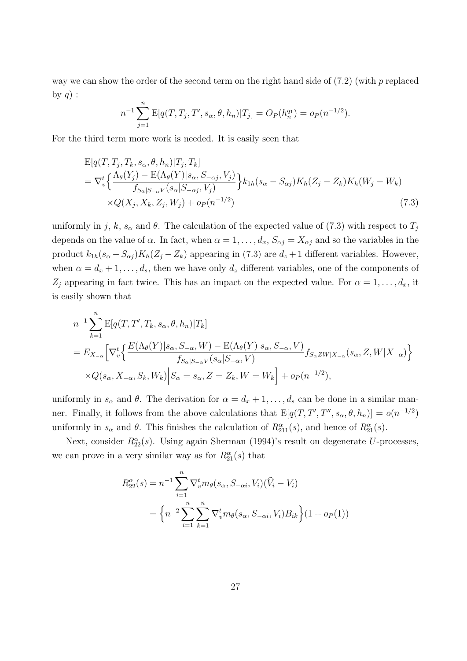way we can show the order of the second term on the right hand side of (7.2) (with *p* replaced by  $q$ ) :

$$
n^{-1} \sum_{j=1}^{n} \mathbb{E}[q(T, T_j, T', s_\alpha, \theta, h_n)|T_j] = O_P(h_n^{q_1}) = o_P(n^{-1/2}).
$$

For the third term more work is needed. It is easily seen that

$$
E[q(T, T_j, T_k, s_\alpha, \theta, h_n) | T_j, T_k]
$$
  
=  $\nabla_v^t \Big\{ \frac{\Lambda_\theta(Y_j) - E(\Lambda_\theta(Y)|s_\alpha, S_{-\alpha j}, V_j)}{f_{S_\alpha|S_{-\alpha}V}(s_\alpha|S_{-\alpha j}, V_j)} \Big\} k_{1h}(s_\alpha - S_{\alpha j}) K_h(Z_j - Z_k) K_h(W_j - W_k)$   
× $Q(X_j, X_k, Z_j, W_j) + o_P(n^{-1/2})$  (7.3)

uniformly in *j*, *k*,  $s_\alpha$  and  $\theta$ . The calculation of the expected value of (7.3) with respect to  $T_j$ depends on the value of  $\alpha$ . In fact, when  $\alpha = 1, \ldots, d_x, S_{\alpha j} = X_{\alpha j}$  and so the variables in the product  $k_{1h}(s_{\alpha} - S_{\alpha j})K_h(Z_j - Z_k)$  appearing in (7.3) are  $d_z + 1$  different variables. However, when  $\alpha = d_x + 1, \ldots, d_s$ , then we have only  $d_z$  different variables, one of the components of *Z*<sub>*j*</sub> appearing in fact twice. This has an impact on the expected value. For  $\alpha = 1, \ldots, d_x$ , it is easily shown that

$$
n^{-1} \sum_{k=1}^{n} \mathbb{E}[q(T, T', T_k, s_\alpha, \theta, h_n) | T_k]
$$
  
=  $E_{X_{-\alpha}} \Big[ \nabla_v^t \Big\{ \frac{E(\Lambda_\theta(Y)|s_\alpha, S_{-\alpha}, W) - E(\Lambda_\theta(Y)|s_\alpha, S_{-\alpha}, V)}{f_{S_\alpha|S_{-\alpha}V}(s_\alpha|S_{-\alpha}, V)} f_{S_\alpha Z W | X_{-\alpha}}(s_\alpha, Z, W | X_{-\alpha}) \Big\}$   

$$
\times Q(s_\alpha, X_{-\alpha}, S_k, W_k) \Big| S_\alpha = s_\alpha, Z = Z_k, W = W_k \Big] + o_P(n^{-1/2}),
$$

uniformly in  $s_\alpha$  and  $\theta$ . The derivation for  $\alpha = d_x + 1, \ldots, d_s$  can be done in a similar manner. Finally, it follows from the above calculations that  $E[q(T, T', T'', s_\alpha, \theta, h_n)] = o(n^{-1/2})$ uniformly in  $s_\alpha$  and  $\theta$ . This finishes the calculation of  $R_{211}^{\alpha}(s)$ , and hence of  $R_{21}^{\alpha}(s)$ .

Next, consider  $R_{22}^{\alpha}(s)$ . Using again Sherman (1994)'s result on degenerate *U*-processes, we can prove in a very similar way as for  $R_{21}^{\alpha}(s)$  that

$$
R_{22}^{\alpha}(s) = n^{-1} \sum_{i=1}^{n} \nabla_v^t m_{\theta}(s_{\alpha}, S_{-\alpha i}, V_i) (\hat{V}_i - V_i)
$$
  
=  $\left\{ n^{-2} \sum_{i=1}^{n} \sum_{k=1}^{n} \nabla_v^t m_{\theta}(s_{\alpha}, S_{-\alpha i}, V_i) B_{ik} \right\} (1 + o_P(1))$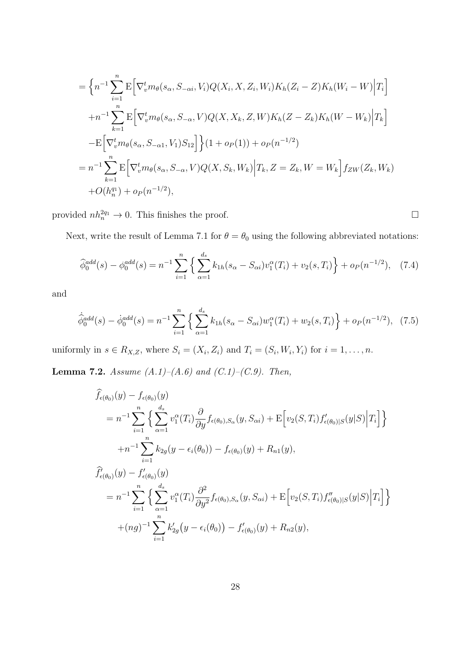$$
= \left\{ n^{-1} \sum_{i=1}^{n} \mathbb{E} \left[ \nabla_{v}^{t} m_{\theta}(s_{\alpha}, S_{-\alpha i}, V_{i}) Q(X_{i}, X, Z_{i}, W_{i}) K_{h}(Z_{i} - Z) K_{h}(W_{i} - W) \Big| T_{i} \right] \right\}
$$
  
+
$$
n^{-1} \sum_{k=1}^{n} \mathbb{E} \left[ \nabla_{v}^{t} m_{\theta}(s_{\alpha}, S_{-\alpha}, V) Q(X, X_{k}, Z, W) K_{h}(Z - Z_{k}) K_{h}(W - W_{k}) \Big| T_{k} \right]
$$
  
-
$$
\mathbb{E} \left[ \nabla_{v}^{t} m_{\theta}(s_{\alpha}, S_{-\alpha 1}, V_{1}) S_{12} \right] \left\{ (1 + o_{P}(1)) + o_{P}(n^{-1/2}) \right\}
$$
  
=
$$
n^{-1} \sum_{k=1}^{n} \mathbb{E} \left[ \nabla_{v}^{t} m_{\theta}(s_{\alpha}, S_{-\alpha}, V) Q(X, S_{k}, W_{k}) \Big| T_{k}, Z = Z_{k}, W = W_{k} \right] f_{ZW}(Z_{k}, W_{k})
$$
  
+
$$
O(h_{n}^{q_{1}}) + o_{P}(n^{-1/2}),
$$

provided  $nh_n^{2q_1} \to 0$ . This finishes the proof.

Next, write the result of Lemma 7.1 for  $\theta = \theta_0$  using the following abbreviated notations:

$$
\widehat{\phi}_0^{add}(s) - \phi_0^{add}(s) = n^{-1} \sum_{i=1}^n \left\{ \sum_{\alpha=1}^{d_s} k_{1h}(s_\alpha - S_{\alpha i}) v_1^\alpha(T_i) + v_2(s, T_i) \right\} + o_P(n^{-1/2}), \quad (7.4)
$$

and

$$
\dot{\hat{\phi}}_{0}^{add}(s) - \dot{\phi}_{0}^{add}(s) = n^{-1} \sum_{i=1}^{n} \left\{ \sum_{\alpha=1}^{d_{s}} k_{1h}(s_{\alpha} - S_{\alpha i}) w_{1}^{\alpha}(T_{i}) + w_{2}(s, T_{i}) \right\} + o_{P}(n^{-1/2}), \quad (7.5)
$$

uniformly in  $s \in R_{X,Z}$ , where  $S_i = (X_i, Z_i)$  and  $T_i = (S_i, W_i, Y_i)$  for  $i = 1, ..., n$ .

**Lemma 7.2.** *Assume (A.1)–(A.6) and (C.1)–(C.9). Then,*

$$
f_{\epsilon(\theta_0)}(y) - f_{\epsilon(\theta_0)}(y)
$$
  
=  $n^{-1} \sum_{i=1}^n \left\{ \sum_{\alpha=1}^{d_s} v_1^{\alpha}(T_i) \frac{\partial}{\partial y} f_{\epsilon(\theta_0), S_{\alpha}}(y, S_{\alpha i}) + \mathbb{E} \left[ v_2(S, T_i) f'_{\epsilon(\theta_0)|S}(y|S) | T_i \right] \right\}$   
+  $n^{-1} \sum_{i=1}^n k_{2g}(y - \epsilon_i(\theta_0)) - f_{\epsilon(\theta_0)}(y) + R_{n1}(y),$   

$$
\hat{f}'_{\epsilon(\theta_0)}(y) - f'_{\epsilon(\theta_0)}(y)
$$
  
=  $n^{-1} \sum_{i=1}^n \left\{ \sum_{\alpha=1}^{d_s} v_1^{\alpha}(T_i) \frac{\partial^2}{\partial y^2} f_{\epsilon(\theta_0), S_{\alpha}}(y, S_{\alpha i}) + \mathbb{E} \left[ v_2(S, T_i) f''_{\epsilon(\theta_0)|S}(y|S) | T_i \right] \right\}$   
+  $(ng)^{-1} \sum_{i=1}^n k'_{2g}(y - \epsilon_i(\theta_0)) - f'_{\epsilon(\theta_0)}(y) + R_{n2}(y),$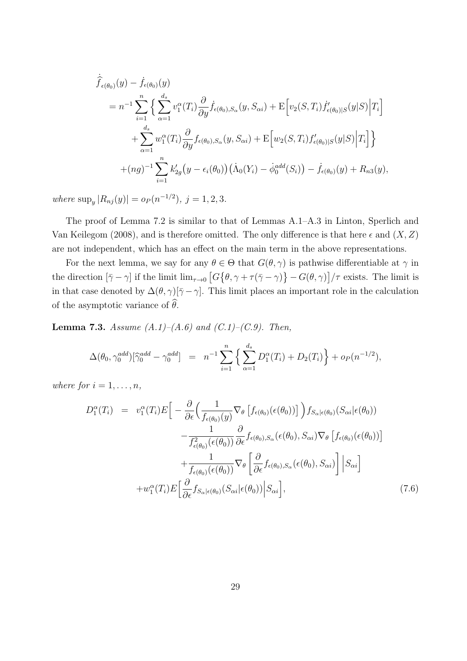$$
\hat{f}_{\epsilon(\theta_{0})}(y) - \dot{f}_{\epsilon(\theta_{0})}(y)
$$
\n
$$
= n^{-1} \sum_{i=1}^{n} \Big\{ \sum_{\alpha=1}^{d_{s}} v_{1}^{\alpha}(T_{i}) \frac{\partial}{\partial y} \dot{f}_{\epsilon(\theta_{0}),S_{\alpha}}(y, S_{\alpha i}) + \mathbb{E} \Big[ v_{2}(S, T_{i}) \dot{f}'_{\epsilon(\theta_{0})|S}(y|S) \Big| T_{i} \Big] + \sum_{\alpha=1}^{d_{s}} w_{1}^{\alpha}(T_{i}) \frac{\partial}{\partial y} f_{\epsilon(\theta_{0}),S_{\alpha}}(y, S_{\alpha i}) + \mathbb{E} \Big[ w_{2}(S, T_{i}) f'_{\epsilon(\theta_{0})|S}(y|S) \Big| T_{i} \Big] \Big\} + (ng)^{-1} \sum_{i=1}^{n} k'_{2g}(y - \epsilon_{i}(\theta_{0})) (\dot{\Lambda}_{0}(Y_{i}) - \dot{\phi}_{0}^{add}(S_{i})) - \dot{f}_{\epsilon(\theta_{0})}(y) + R_{n3}(y),
$$

 $where \sup_y |R_{nj}(y)| = o_P(n^{-1/2}), j = 1, 2, 3.$ 

The proof of Lemma 7.2 is similar to that of Lemmas A.1–A.3 in Linton, Sperlich and Van Keilegom (2008), and is therefore omitted. The only difference is that here  $\epsilon$  and  $(X, Z)$ are not independent, which has an effect on the main term in the above representations.

For the next lemma, we say for any  $\theta \in \Theta$  that  $G(\theta, \gamma)$  is pathwise differentiable at  $\gamma$  in the direction  $[\bar{\gamma} - \gamma]$  if the limit  $\lim_{\tau \to 0} [G\{\theta, \gamma + \tau(\bar{\gamma} - \gamma)\} - G(\theta, \gamma)]/\tau$  exists. The limit is in that case denoted by  $\Delta(\theta, \gamma)[\overline{\gamma} - \gamma]$ . This limit places an important role in the calculation of the asymptotic variance of  $\widehat{\theta}$ .

**Lemma 7.3.** *Assume (A.1)–(A.6) and (C.1)–(C.9). Then,*

$$
\Delta(\theta_0, \gamma_0^{add})[\widehat{\gamma}_0^{add} - \gamma_0^{add}] = n^{-1} \sum_{i=1}^n \left\{ \sum_{\alpha=1}^{d_s} D_1^{\alpha}(T_i) + D_2(T_i) \right\} + o_P(n^{-1/2}),
$$

*where for*  $i = 1, \ldots, n$ *,* 

$$
D_1^{\alpha}(T_i) = v_1^{\alpha}(T_i)E\Big[-\frac{\partial}{\partial \epsilon} \Big(\frac{1}{f_{\epsilon(\theta_0)}(y)} \nabla_{\theta} \left[f_{\epsilon(\theta_0)}(\epsilon(\theta_0))\right] \Big) f_{S_{\alpha}|\epsilon(\theta_0)}(S_{\alpha i}|\epsilon(\theta_0)) -\frac{1}{f_{\epsilon(\theta_0)}^2(\epsilon(\theta_0))} \frac{\partial}{\partial \epsilon} f_{\epsilon(\theta_0), S_{\alpha}}(\epsilon(\theta_0), S_{\alpha i}) \nabla_{\theta} \left[f_{\epsilon(\theta_0)}(\epsilon(\theta_0))\right] +\frac{1}{f_{\epsilon(\theta_0)}(\epsilon(\theta_0))} \nabla_{\theta} \left[\frac{\partial}{\partial \epsilon} f_{\epsilon(\theta_0), S_{\alpha}}(\epsilon(\theta_0), S_{\alpha i})\right] \Big| S_{\alpha i} \Big] + w_1^{\alpha}(T_i)E\Big[\frac{\partial}{\partial \epsilon} f_{S_{\alpha}|\epsilon(\theta_0)}(S_{\alpha i}|\epsilon(\theta_0)) \Big| S_{\alpha i} \Big], \tag{7.6}
$$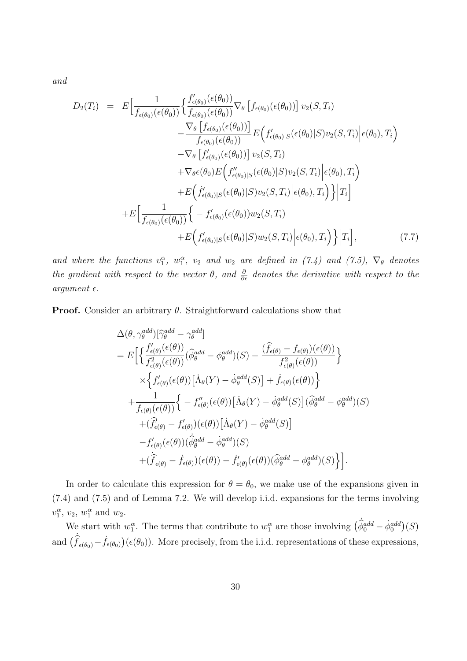*and*

$$
D_2(T_i) = E\Big[\frac{1}{f_{\epsilon(\theta_0)}(\epsilon(\theta_0))}\Big\{\frac{f'_{\epsilon(\theta_0)}(\epsilon(\theta_0))}{f_{\epsilon(\theta_0)}(\epsilon(\theta_0))}\nabla_{\theta}\Big[f_{\epsilon(\theta_0)}(\epsilon(\theta_0))\Big]v_2(S,T_i) - \frac{\nabla_{\theta}\Big[f_{\epsilon(\theta_0)}(\epsilon(\theta_0))\Big]}{f_{\epsilon(\theta_0)}(\epsilon(\theta_0))}E\Big(f'_{\epsilon(\theta_0)|S}(\epsilon(\theta_0)|S)v_2(S,T_i)\Big|\epsilon(\theta_0),T_i\Big) - \nabla_{\theta}\Big[f'_{\epsilon(\theta_0)}(\epsilon(\theta_0))\Big]v_2(S,T_i) + \nabla_{\theta}\epsilon(\theta_0)E\Big(f''_{\epsilon(\theta_0)|S}(\epsilon(\theta_0)|S)v_2(S,T_i)\Big|\epsilon(\theta_0),T_i\Big) + E\Big(\frac{f'}{f_{\epsilon(\theta_0)}(\epsilon(\theta_0))}\Big\{\epsilon(\theta_0)|S)v_2(S,T_i)\Big|\epsilon(\theta_0),T_i\Big\}\Big|T_i\Big] + E\Big[\frac{1}{f_{\epsilon(\theta_0)}(\epsilon(\theta_0))}\Big\{-f'_{\epsilon(\theta_0)}(\epsilon(\theta_0))w_2(S,T_i) + E\Big(f'_{\epsilon(\theta_0)|S}(\epsilon(\theta_0)|S)w_2(S,T_i)\Big|\epsilon(\theta_0),T_i\Big)\Big\}\Big|T_i\Big],\tag{7.7}
$$

*and where the functions*  $v_1^{\alpha}$ ,  $w_1^{\alpha}$ ,  $v_2$  *and*  $w_2$  *are defined in (7.4) and (7.5)*,  $\nabla_{\theta}$  *denotes the gradient with respect to the vector*  $\theta$ *, and*  $\frac{\partial}{\partial \epsilon}$  *denotes the derivative with respect to the*  $argument \in.$ 

**Proof.** Consider an arbitrary *θ*. Straightforward calculations show that

$$
\Delta(\theta, \gamma_{\theta}^{add})[\hat{\gamma}_{\theta}^{add} - \gamma_{\theta}^{add}] \n= E\Big[\Big\{\frac{f'_{\epsilon(\theta)}(\epsilon(\theta))}{f_{\epsilon(\theta)}^{2}(\epsilon(\theta))}(\hat{\phi}_{\theta}^{add} - \phi_{\theta}^{add})(S) - \frac{(\hat{f}_{\epsilon(\theta)} - f_{\epsilon(\theta)})(\epsilon(\theta))}{f_{\epsilon(\theta)}^{2}(\epsilon(\theta))}\Big\} \n\times \Big\{f'_{\epsilon(\theta)}(\epsilon(\theta))[\dot{\Lambda}_{\theta}(Y) - \dot{\phi}_{\theta}^{add}(S)] + \dot{f}_{\epsilon(\theta)}(\epsilon(\theta))\Big\} \n+ \frac{1}{f_{\epsilon(\theta)}(\epsilon(\theta))}\Big\{-f''_{\epsilon(\theta)}(\epsilon(\theta))[\dot{\Lambda}_{\theta}(Y) - \dot{\phi}_{\theta}^{add}(S)](\hat{\phi}_{\theta}^{add} - \phi_{\theta}^{add})(S) \n+ (\hat{f}'_{\epsilon(\theta)} - f'_{\epsilon(\theta)})(\epsilon(\theta))[\dot{\Lambda}_{\theta}(Y) - \dot{\phi}_{\theta}^{add}(S)] \n- f'_{\epsilon(\theta)}(\epsilon(\theta))(\dot{\hat{\phi}}_{\theta}^{add} - \dot{\phi}_{\theta}^{add})(S) \n+ (\hat{f}_{\epsilon(\theta)} - \dot{f}_{\epsilon(\theta)})(\epsilon(\theta)) - \dot{f}'_{\epsilon(\theta)}(\epsilon(\theta))(\hat{\phi}_{\theta}^{add} - \phi_{\theta}^{add})(S)\Big\} \Big].
$$

In order to calculate this expression for  $\theta = \theta_0$ , we make use of the expansions given in (7.4) and (7.5) and of Lemma 7.2. We will develop i.i.d. expansions for the terms involving  $v_1^{\alpha}$ ,  $v_2$ ,  $w_1^{\alpha}$  and  $w_2$ .

We start with  $w_1^{\alpha}$ . The terms that contribute to  $w_1^{\alpha}$  are those involving  $(\hat{\phi}_0^{add} - \dot{\phi}_0^{add})(S)$ and  $(\dot{f}_{\epsilon(\theta_0)} - \dot{f}_{\epsilon(\theta_0)}) (\epsilon(\theta_0))$ . More precisely, from the i.i.d. representations of these expressions,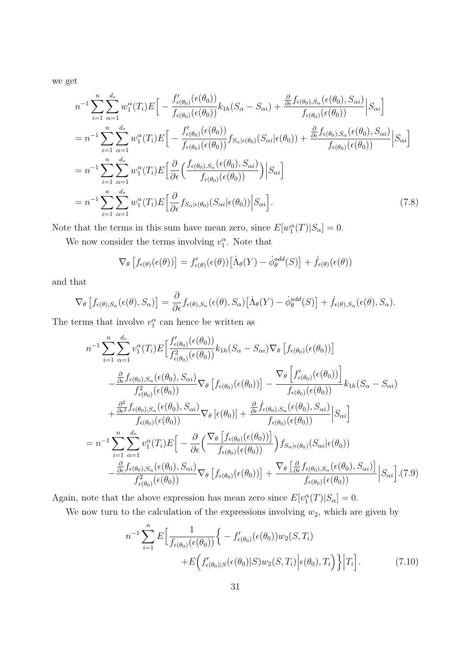we get

$$
n^{-1} \sum_{i=1}^{n} \sum_{\alpha=1}^{d_s} w_1^{\alpha}(T_i) E\Big[ - \frac{f'_{\epsilon(\theta_0)}(\epsilon(\theta_0))}{f_{\epsilon(\theta_0)}(\epsilon(\theta_0))} k_{1h}(S_{\alpha} - S_{\alpha i}) + \frac{\frac{\partial}{\partial \epsilon} f_{\epsilon(\theta_0), S_{\alpha}}(\epsilon(\theta_0), S_{\alpha i})}{f_{\epsilon(\theta_0)}(\epsilon(\theta_0))} \Big| S_{\alpha i} \Big]
$$
  
\n
$$
= n^{-1} \sum_{i=1}^{n} \sum_{\alpha=1}^{d_s} w_1^{\alpha}(T_i) E\Big[ - \frac{f'_{\epsilon(\theta_0)}(\epsilon(\theta_0))}{f_{\epsilon(\theta_0)}(\epsilon(\theta_0))} f_{S_{\alpha}|\epsilon(\theta_0)}(S_{\alpha i}|\epsilon(\theta_0)) + \frac{\frac{\partial}{\partial \epsilon} f_{\epsilon(\theta_0), S_{\alpha}}(\epsilon(\theta_0), S_{\alpha i})}{f_{\epsilon(\theta_0)}(\epsilon(\theta_0))} \Big| S_{\alpha i} \Big]
$$
  
\n
$$
= n^{-1} \sum_{i=1}^{n} \sum_{\alpha=1}^{d_s} w_1^{\alpha}(T_i) E\Big[ \frac{\partial}{\partial \epsilon} \Big( \frac{f_{\epsilon(\theta_0), S_{\alpha}}(\epsilon(\theta_0), S_{\alpha i})}{f_{\epsilon(\theta_0)}(\epsilon(\theta_0))} \Big) \Big| S_{\alpha i} \Big]
$$
  
\n
$$
= n^{-1} \sum_{i=1}^{n} \sum_{\alpha=1}^{d_s} w_1^{\alpha}(T_i) E\Big[ \frac{\partial}{\partial \epsilon} f_{S_{\alpha}|\epsilon(\theta_0)}(S_{\alpha i}|\epsilon(\theta_0)) \Big| S_{\alpha i} \Big].
$$
  
\n(7.8)

Note that the terms in this sum have mean zero, since  $E[w_1^{\alpha}(T)|S_{\alpha}] = 0$ .

We now consider the terms involving  $v_1^{\alpha}$ . Note that

$$
\nabla_{\theta}\left[f_{\epsilon(\theta)}(\epsilon(\theta))\right] = f'_{\epsilon(\theta)}(\epsilon(\theta))\big[\dot{\Lambda}_{\theta}(Y) - \dot{\phi}_{\theta}^{add}(S)\big] + \dot{f}_{\epsilon(\theta)}(\epsilon(\theta))
$$

and that

$$
\nabla_{\theta}\left[f_{\epsilon(\theta),S_{\alpha}}(\epsilon(\theta),S_{\alpha})\right]=\frac{\partial}{\partial\epsilon}f_{\epsilon(\theta),S_{\alpha}}(\epsilon(\theta),S_{\alpha})\big[\dot{\Lambda}_{\theta}(Y)-\dot{\phi}_{\theta}^{add}(S)\big]+\dot{f}_{\epsilon(\theta),S_{\alpha}}(\epsilon(\theta),S_{\alpha}).
$$

The terms that involve  $v_1^{\alpha}$  can hence be written as

$$
n^{-1} \sum_{i=1}^{n} \sum_{\alpha=1}^{d_s} v_1^{\alpha}(T_i) E\Big[\frac{f'_{\epsilon(\theta_0)}(\epsilon(\theta_0))}{f_{\epsilon(\theta_0)}^2(\epsilon(\theta_0))} k_{1h}(S_{\alpha} - S_{\alpha i}) \nabla_{\theta} \left[ f_{\epsilon(\theta_0)}(\epsilon(\theta_0)) \right] -\frac{\frac{\partial}{\partial \epsilon} f_{\epsilon(\theta_0), S_{\alpha}}(\epsilon(\theta_0), S_{\alpha i})}{f_{\epsilon(\theta_0)}^2(\epsilon(\theta_0))} \nabla_{\theta} \left[ f_{\epsilon(\theta_0)}(\epsilon(\theta_0)) \right] - \frac{\nabla_{\theta} \left[ f'_{\epsilon(\theta_0)}(\epsilon(\theta_0)) \right]}{f_{\epsilon(\theta_0)}(\epsilon(\theta_0))} k_{1h}(S_{\alpha} - S_{\alpha i}) +\frac{\frac{\partial^2}{\partial \epsilon^2} f_{\epsilon(\theta_0), S_{\alpha}}(\epsilon(\theta_0), S_{\alpha i})}{f_{\epsilon(\theta_0)}(\epsilon(\theta_0))} \nabla_{\theta} \left[ \epsilon(\theta_0) \right] + \frac{\frac{\partial}{\partial \epsilon} f_{\epsilon(\theta_0), S_{\alpha}}(\epsilon(\theta_0), S_{\alpha i})}{f_{\epsilon(\theta_0)}(\epsilon(\theta_0))} \Big| S_{\alpha i} \Big]
$$
\n
$$
= n^{-1} \sum_{i=1}^{n} \sum_{\alpha=1}^{d_s} v_1^{\alpha}(T_i) E\Big[-\frac{\partial}{\partial \epsilon} \Big(\frac{\nabla_{\theta} \left[ f_{\epsilon(\theta_0)}(\epsilon(\theta_0)) \right]}{f_{\epsilon(\theta_0)}(\epsilon(\theta_0))} \Big) f_{S_{\alpha}|\epsilon(\theta_0)}(S_{\alpha i}|\epsilon(\theta_0))
$$
\n
$$
-\frac{\frac{\partial}{\partial \epsilon} f_{\epsilon(\theta_0), S_{\alpha}}(\epsilon(\theta_0), S_{\alpha i})}{f_{\epsilon(\theta_0)}^2(\epsilon(\theta_0))} \nabla_{\theta} \left[ f_{\epsilon(\theta_0)}(\epsilon(\theta_0)) \right] + \frac{\nabla_{\theta} \left[ \frac{\partial}{\partial \epsilon} f_{\epsilon(\theta_0), S_{\alpha}}(\epsilon(\theta_0), S_{\alpha i}) \right]}{f_{\epsilon(\theta_0)}(\epsilon(\theta_0))} \Big|
$$

Again, note that the above expression has mean zero since  $E[v_1^{\alpha}(T)|S_{\alpha}] = 0$ .

We now turn to the calculation of the expressions involving  $w_2$ , which are given by

$$
n^{-1} \sum_{i=1}^{n} E\Big[\frac{1}{f_{\epsilon(\theta_0)}(\epsilon(\theta_0))} \Big\{ - f'_{\epsilon(\theta_0)}(\epsilon(\theta_0)) w_2(S, T_i) + E\Big(f'_{\epsilon(\theta_0)|S}(\epsilon(\theta_0)|S) w_2(S, T_i) \Big| \epsilon(\theta_0), T_i\Big) \Big\} \Big| T_i \Big].
$$
 (7.10)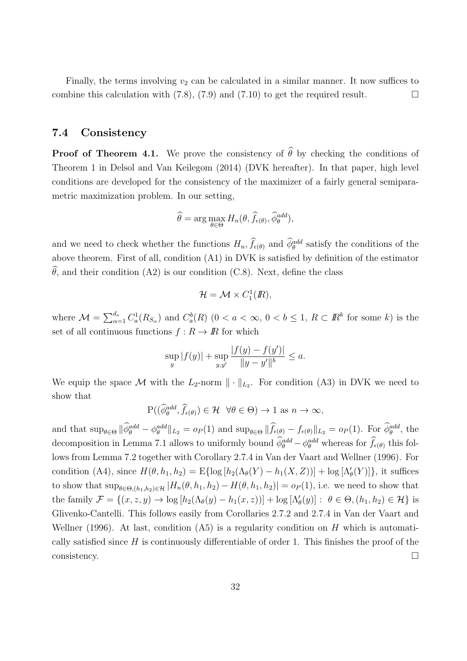Finally, the terms involving  $v_2$  can be calculated in a similar manner. It now suffices to combine this calculation with (7.8), (7.9) and (7.10) to get the required result.  $\Box$ 

### **7.4 Consistency**

**Proof of Theorem 4.1.** We prove the consistency of  $\hat{\theta}$  by checking the conditions of Theorem 1 in Delsol and Van Keilegom (2014) (DVK hereafter). In that paper, high level conditions are developed for the consistency of the maximizer of a fairly general semiparametric maximization problem. In our setting,

$$
\widehat{\theta} = \arg \max_{\theta \in \Theta} H_n(\theta, \widehat{f}_{\epsilon(\theta)}, \widehat{\phi}_{\theta}^{add}),
$$

and we need to check whether the functions  $H_n$ ,  $\hat{f}_{\epsilon(\theta)}$  and  $\hat{\phi}_{\theta}^{add}$  satisfy the conditions of the above theorem. First of all, condition (A1) in DVK is satisfied by definition of the estimator  $\hat{\theta}$ , and their condition (A2) is our condition (C.8). Next, define the class

$$
\mathcal{H} = \mathcal{M} \times C_1^1(\mathbb{R}),
$$

where  $\mathcal{M} = \sum_{\alpha=1}^{d_s} C_a^1(R_{S_{\alpha}})$  and  $C_a^b(R)$   $(0 < a < \infty, 0 < b \leq 1, R \subset \mathbb{R}^k$  for some k) is the set of all continuous functions  $f: R \to \mathbb{R}$  for which

$$
\sup_{y} |f(y)| + \sup_{y,y'} \frac{|f(y) - f(y')|}{\|y - y'\|^b} \le a.
$$

We equip the space  $\mathcal M$  with the  $L_2$ -norm  $\|\cdot\|_{L_2}$ . For condition (A3) in DVK we need to show that

$$
\mathrm{P}((\widehat{\phi}_{\theta}^{add}, \widehat{f}_{\epsilon(\theta)}) \in \mathcal{H} \ \ \forall \theta \in \Theta) \to 1 \text{ as } n \to \infty,
$$

and that  $\sup_{\theta \in \Theta} ||\dot{\phi}_{\theta}^{add} - \phi_{\theta}^{add}||_{L_2} = o_P(1)$  and  $\sup_{\theta \in \Theta} ||\hat{f}_{\epsilon(\theta)} - f_{\epsilon(\theta)}||_{L_2} = o_P(1)$ . For  $\dot{\phi}_{\theta}^{add}$ , the decomposition in Lemma 7.1 allows to uniformly bound  $\hat{\phi}_{\theta}^{add} - \phi_{\theta}^{add}$  whereas for  $\hat{f}_{\epsilon(\theta)}$  this follows from Lemma 7.2 together with Corollary 2.7.4 in Van der Vaart and Wellner (1996). For condition (A4), since  $H(\theta, h_1, h_2) = \mathbb{E}\{\log [h_2(\Lambda_{\theta}(Y) - h_1(X, Z))] + \log [\Lambda'_{\theta}(Y)]\}$ , it suffices to show that  $\sup_{\theta \in \Theta}$ , $(h_1, h_2) \in \mathcal{H}$   $|H_n(\theta, h_1, h_2) - H(\theta, h_1, h_2)| = o_P(1)$ , i.e. we need to show that the family  $\mathcal{F} = \{(x, z, y) \to \log [h_2(\Lambda_{\theta}(y) - h_1(x, z))] + \log [\Lambda_{\theta}'(y)] : \theta \in \Theta, (h_1, h_2) \in \mathcal{H}\}\$ is Glivenko-Cantelli. This follows easily from Corollaries 2.7.2 and 2.7.4 in Van der Vaart and Wellner (1996). At last, condition (A5) is a regularity condition on *H* which is automatically satisfied since *H* is continuously differentiable of order 1. This finishes the proof of the  $\Box$ consistency.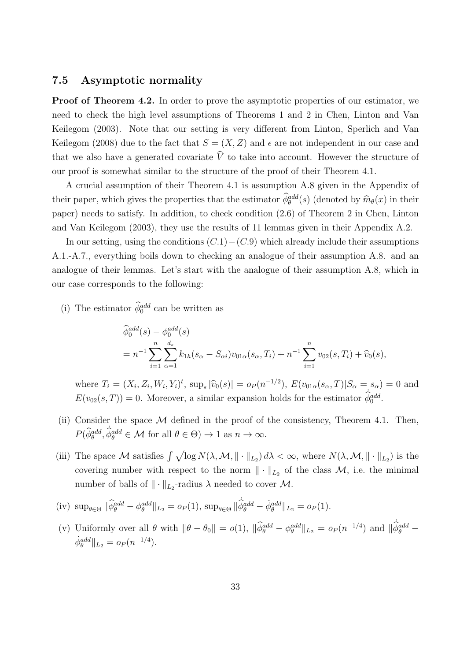#### **7.5 Asymptotic normality**

**Proof of Theorem 4.2.** In order to prove the asymptotic properties of our estimator, we need to check the high level assumptions of Theorems 1 and 2 in Chen, Linton and Van Keilegom (2003). Note that our setting is very different from Linton, Sperlich and Van Keilegom (2008) due to the fact that  $S = (X, Z)$  and  $\epsilon$  are not independent in our case and that we also have a generated covariate  $\hat{V}$  to take into account. However the structure of our proof is somewhat similar to the structure of the proof of their Theorem 4.1.

A crucial assumption of their Theorem 4.1 is assumption A.8 given in the Appendix of their paper, which gives the properties that the estimator  $\phi_{\theta}^{add}(s)$  (denoted by  $\widehat{m}_{\theta}(x)$  in their paper) needs to satisfy. In addition, to check condition (2.6) of Theorem 2 in Chen, Linton and Van Keilegom (2003), they use the results of 11 lemmas given in their Appendix A.2.

In our setting, using the conditions (*C.*1)*−*(*C.*9) which already include their assumptions A.1.-A.7., everything boils down to checking an analogue of their assumption A.8. and an analogue of their lemmas. Let's start with the analogue of their assumption A.8, which in our case corresponds to the following:

(i) The estimator  $\phi_0^{add}$  can be written as

$$
\widehat{\phi}_0^{add}(s) - \phi_0^{add}(s)
$$
\n
$$
= n^{-1} \sum_{i=1}^n \sum_{\alpha=1}^{d_s} k_{1h}(s_{\alpha} - S_{\alpha i}) v_{01\alpha}(s_{\alpha}, T_i) + n^{-1} \sum_{i=1}^n v_{02}(s, T_i) + \widehat{v}_0(s),
$$

where  $T_i = (X_i, Z_i, W_i, Y_i)^t$ ,  $\sup_s |\hat{v}_0(s)| = o_P(n^{-1/2}), E(v_{01\alpha}(s_\alpha, T)|S_\alpha = s_\alpha) = 0$  and  $E(v_{02}(s,T)) = 0$ . Moreover, a similar expansion holds for the estimator  $\hat{\phi}_0^{add}$ .

- (ii) Consider the space *M* defined in the proof of the consistency, Theorem 4.1. Then,  $P(\hat{\phi}_{\theta}^{add}, \hat{\phi}_{\theta}^{add} \in \mathcal{M} \text{ for all } \theta \in \Theta) \to 1 \text{ as } n \to \infty.$
- (iii) The space M satisfies  $\int \sqrt{\log N(\lambda, \mathcal{M}, \| \cdot \|_{L_2})} d\lambda < \infty$ , where  $N(\lambda, \mathcal{M}, \| \cdot \|_{L_2})$  is the covering number with respect to the norm  $\|\cdot\|_{L_2}$  of the class  $\mathcal{M}$ , i.e. the minimal number of balls of  $\|\cdot\|_{L_2}$ -radius  $\lambda$  needed to cover  $\mathcal{M}$ .

(iv) 
$$
\sup_{\theta \in \Theta} \|\hat{\phi}_{\theta}^{add} - \phi_{\theta}^{add}\|_{L_2} = o_P(1), \sup_{\theta \in \Theta} \|\hat{\phi}_{\theta}^{add} - \dot{\phi}_{\theta}^{add}\|_{L_2} = o_P(1).
$$

(v) Uniformly over all  $\theta$  with  $\|\theta - \theta_0\| = o(1)$ ,  $\|\hat{\phi}_{\theta}^{add} - \phi_{\theta}^{add}\|_{L_2} = o_P(n^{-1/4})$  and  $\|\hat{\phi}_{\theta}^{add} - \theta_{\theta}^{add}\|_{L_2} = o_P(n^{-1/4})$  $\dot{\phi}_{\theta}^{add} \|_{L_2} = o_P(n^{-1/4}).$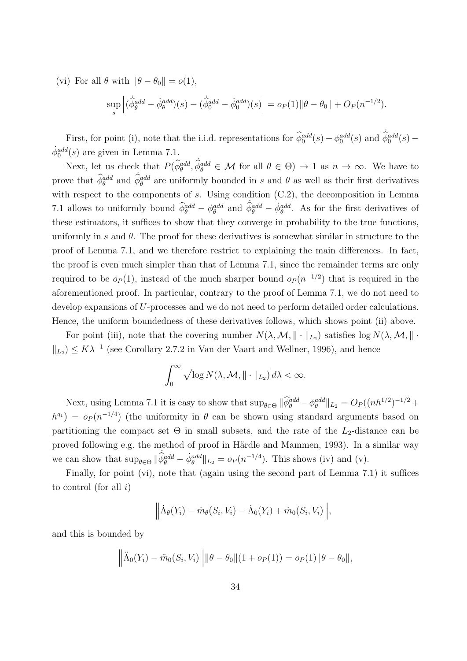(vi) For all  $\theta$  with  $||\theta - \theta_0|| = o(1)$ ,

$$
\sup_{s} \left| (\dot{\hat{\phi}}_{\theta}^{add} - \dot{\phi}_{\theta}^{add})(s) - (\dot{\hat{\phi}}_0^{add} - \dot{\phi}_0^{add})(s) \right| = o_P(1) ||\theta - \theta_0|| + O_P(n^{-1/2}).
$$

First, for point (i), note that the i.i.d. representations for  $\hat{\phi}_0^{add}(s) - \phi_0^{add}(s)$  and  $\hat{\phi}_0^{add}(s) \dot{\phi}_0^{add}(s)$  are given in Lemma 7.1.

Next, let us check that  $P(\hat{\phi}_{\theta}^{add}, \hat{\phi}_{\theta}^{add} \in \mathcal{M} \text{ for all } \theta \in \Theta) \rightarrow 1 \text{ as } n \rightarrow \infty$ . We have to prove that  $\hat{\phi}_{\theta}^{add}$  and  $\hat{\phi}_{\theta}^{add}$  are uniformly bounded in *s* and  $\theta$  as well as their first derivatives with respect to the components of *s*. Using condition  $(C.2)$ , the decomposition in Lemma 7.1 allows to uniformly bound  $\hat{\phi}_{\theta}^{add} - \phi_{\theta}^{add}$  and  $\hat{\phi}_{\theta}^{add} - \dot{\phi}_{\theta}^{add}$ . As for the first derivatives of these estimators, it suffices to show that they converge in probability to the true functions, uniformly in *s* and  $\theta$ . The proof for these derivatives is somewhat similar in structure to the proof of Lemma 7.1, and we therefore restrict to explaining the main differences. In fact, the proof is even much simpler than that of Lemma 7.1, since the remainder terms are only required to be  $o_P(1)$ , instead of the much sharper bound  $o_P(n^{-1/2})$  that is required in the aforementioned proof. In particular, contrary to the proof of Lemma 7.1, we do not need to develop expansions of *U*-processes and we do not need to perform detailed order calculations. Hence, the uniform boundedness of these derivatives follows, which shows point (ii) above.

For point (iii), note that the covering number  $N(\lambda, \mathcal{M}, \| \cdot \|_{L_2})$  satisfies  $\log N(\lambda, \mathcal{M}, \| \cdot \|_{L_2})$  $| \cdot |$ <sub>L<sub>2</sub></sub>  $\leq K\lambda^{-1}$  (see Corollary 2.7.2 in Van der Vaart and Wellner, 1996), and hence

$$
\int_0^\infty \sqrt{\log N(\lambda, \mathcal{M}, \| \cdot \|_{L_2})} \, d\lambda < \infty.
$$

Next, using Lemma 7.1 it is easy to show that  $\sup_{\theta \in \Theta} ||\phi_{\theta}^{add} - \phi_{\theta}^{add}||_{L_2} = O_P((nh^{1/2})^{-1/2} +$  $h^{q_1}$  =  $o_P(n^{-1/4})$  (the uniformity in  $\theta$  can be shown using standard arguments based on partitioning the compact set  $\Theta$  in small subsets, and the rate of the  $L_2$ -distance can be proved following e.g. the method of proof in Härdle and Mammen, 1993). In a similar way we can show that  $\sup_{\theta \in \Theta} \|\hat{\phi}_{\theta}^{add} - \dot{\phi}_{\theta}^{add}\|_{L_2} = o_P(n^{-1/4})$ . This shows (iv) and (v).

Finally, for point (vi), note that (again using the second part of Lemma 7.1) it suffices to control (for all *i*)

$$
\Big\|\dot{\Lambda}_{\theta}(Y_i)-\dot{m}_{\theta}(S_i,V_i)-\dot{\Lambda}_{0}(Y_i)+\dot{m}_{0}(S_i,V_i)\Big\|,
$$

and this is bounded by

$$
\left\|\ddot{\Lambda}_0(Y_i) - \ddot{m}_0(S_i, V_i)\right\| \|\theta - \theta_0\|(1 + o_P(1)) = o_P(1)\|\theta - \theta_0\|,
$$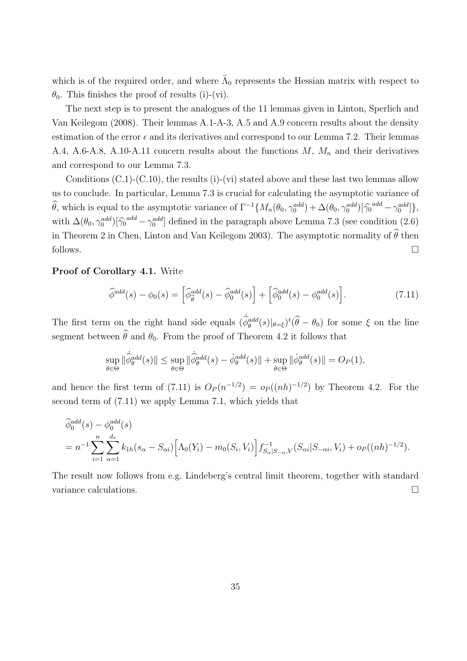which is of the required order, and where  $\ddot{\Lambda}_0$  represents the Hessian matrix with respect to  $\theta_0$ . This finishes the proof of results (i)-(vi).

The next step is to present the analogues of the 11 lemmas given in Linton, Sperlich and Van Keilegom (2008). Their lemmas A.1-A-3, A.5 and A.9 concern results about the density estimation of the error  $\epsilon$  and its derivatives and correspond to our Lemma 7.2. Their lemmas A.4, A.6-A.8, A.10-A.11 concern results about the functions *M*, *M<sup>n</sup>* and their derivatives and correspond to our Lemma 7.3.

Conditions  $(C.1)$ - $(C.10)$ , the results  $(i)$ - $(vi)$  stated above and these last two lemmas allow us to conclude. In particular, Lemma 7.3 is crucial for calculating the asymptotic variance of  $\widehat{\theta}$ , which is equal to the asymptotic variance of  $\Gamma^{-1}\{M_n(\theta_0, \gamma_0^{add}) + \Delta(\theta_0, \gamma_0^{add})[\widehat{\gamma}_0^{add} - \gamma_0^{add}]\},$ with  $\Delta(\theta_0, \gamma_0^{add})[\hat{\gamma_0}^{add} - \gamma_0^{add}]$  defined in the paragraph above Lemma 7.3 (see condition (2.6) in Theorem 2 in Chen, Linton and Van Keilegom 2003). The asymptotic normality of  $\widehat{\theta}$  then follows.  $\Box$ 

#### **Proof of Corollary 4.1.** Write

$$
\widehat{\phi}^{add}(s) - \phi_0(s) = \left[\widehat{\phi}_{\widehat{\theta}}^{add}(s) - \widehat{\phi}_0^{add}(s)\right] + \left[\widehat{\phi}_0^{add}(s) - \phi_0^{add}(s)\right].\tag{7.11}
$$

The first term on the right hand side equals  $(\hat{\phi}_{\theta}^{add}(s)|_{\theta=\xi})^t(\hat{\theta}-\theta_0)$  for some  $\xi$  on the line segment between  $\widehat{\theta}$  and  $\theta_0$ . From the proof of Theorem 4.2 it follows that

$$
\sup_{\theta \in \Theta} \|\dot{\hat{\phi}}^{add}_{\theta}(s)\| \leq \sup_{\theta \in \Theta} \|\dot{\hat{\phi}}^{add}_{\theta}(s) - \dot{\phi}^{add}_{\theta}(s)\| + \sup_{\theta \in \Theta} \|\dot{\phi}^{add}_{\theta}(s)\| = O_P(1),
$$

and hence the first term of (7.11) is  $O_P(n^{-1/2}) = o_P((nh)^{-1/2})$  by Theorem 4.2. For the second term of (7.11) we apply Lemma 7.1, which yields that

$$
\widehat{\phi}_0^{add}(s) - \phi_0^{add}(s)
$$
\n
$$
= n^{-1} \sum_{i=1}^n \sum_{\alpha=1}^{d_s} k_{1h}(s_{\alpha} - S_{\alpha i}) \left[ \Lambda_0(Y_i) - m_0(S_i, V_i) \right] f_{S_{\alpha}|S_{-\alpha},V}^{-1}(S_{\alpha i}|S_{-\alpha i}, V_i) + o_P((nh)^{-1/2}).
$$

The result now follows from e.g. Lindeberg's central limit theorem, together with standard variance calculations.  $\Box$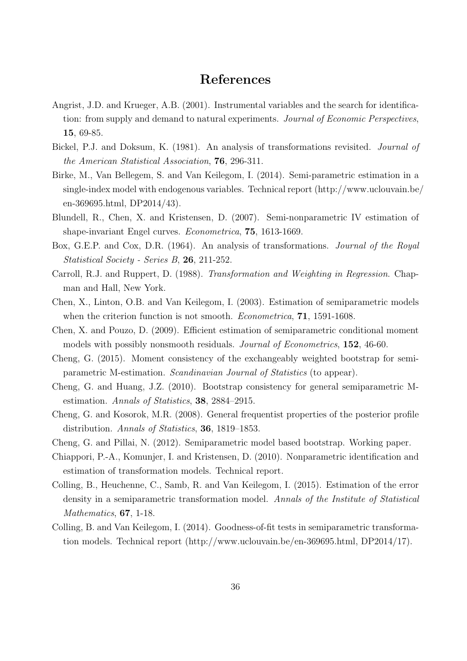## **References**

- Angrist, J.D. and Krueger, A.B. (2001). Instrumental variables and the search for identification: from supply and demand to natural experiments. *Journal of Economic Perspectives*, **15**, 69-85.
- Bickel, P.J. and Doksum, K. (1981). An analysis of transformations revisited. *Journal of the American Statistical Association*, **76**, 296-311.
- Birke, M., Van Bellegem, S. and Van Keilegom, I. (2014). Semi-parametric estimation in a single-index model with endogenous variables. Technical report (http://www.uclouvain.be/ en-369695.html, DP2014/43).
- Blundell, R., Chen, X. and Kristensen, D. (2007). Semi-nonparametric IV estimation of shape-invariant Engel curves. *Econometrica*, **75**, 1613-1669.
- Box, G.E.P. and Cox, D.R. (1964). An analysis of transformations. *Journal of the Royal Statistical Society - Series B*, **26**, 211-252.
- Carroll, R.J. and Ruppert, D. (1988). *Transformation and Weighting in Regression*. Chapman and Hall, New York.
- Chen, X., Linton, O.B. and Van Keilegom, I. (2003). Estimation of semiparametric models when the criterion function is not smooth. *Econometrica*, **71**, 1591-1608.
- Chen, X. and Pouzo, D. (2009). Efficient estimation of semiparametric conditional moment models with possibly nonsmooth residuals. *Journal of Econometrics*, **152**, 46-60.
- Cheng, G. (2015). Moment consistency of the exchangeably weighted bootstrap for semiparametric M-estimation. *Scandinavian Journal of Statistics* (to appear).
- Cheng, G. and Huang, J.Z. (2010). Bootstrap consistency for general semiparametric Mestimation. *Annals of Statistics*, **38**, 2884–2915.
- Cheng, G. and Kosorok, M.R. (2008). General frequentist properties of the posterior profile distribution. *Annals of Statistics*, **36**, 1819–1853.
- Cheng, G. and Pillai, N. (2012). Semiparametric model based bootstrap. Working paper.
- Chiappori, P.-A., Komunjer, I. and Kristensen, D. (2010). Nonparametric identification and estimation of transformation models. Technical report.
- Colling, B., Heuchenne, C., Samb, R. and Van Keilegom, I. (2015). Estimation of the error density in a semiparametric transformation model. *Annals of the Institute of Statistical Mathematics*, **67**, 1-18.
- Colling, B. and Van Keilegom, I. (2014). Goodness-of-fit tests in semiparametric transformation models. Technical report (http://www.uclouvain.be/en-369695.html, DP2014/17).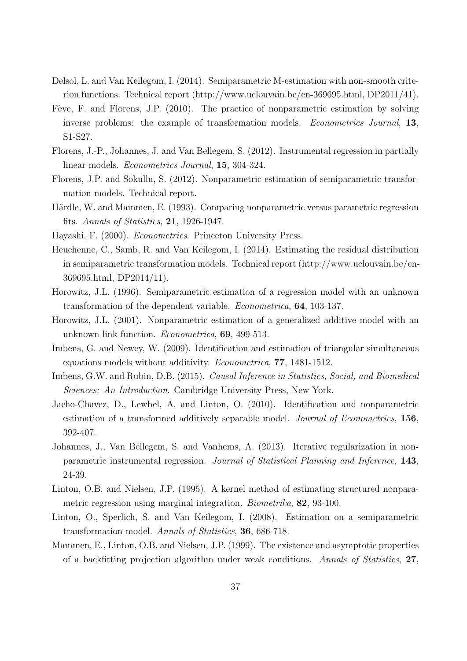- Delsol, L. and Van Keilegom, I. (2014). Semiparametric M-estimation with non-smooth criterion functions. Technical report (http://www.uclouvain.be/en-369695.html, DP2011/41).
- Fève, F. and Florens, J.P. (2010). The practice of nonparametric estimation by solving inverse problems: the example of transformation models. *Econometrics Journal*, **13**, S1-S27.
- Florens, J.-P., Johannes, J. and Van Bellegem, S. (2012). Instrumental regression in partially linear models. *Econometrics Journal*, **15**, 304-324.
- Florens, J.P. and Sokullu, S. (2012). Nonparametric estimation of semiparametric transformation models. Technical report.
- Härdle, W. and Mammen, E. (1993). Comparing nonparametric versus parametric regression fits. *Annals of Statistics*, **21**, 1926-1947.
- Hayashi, F. (2000). *Econometrics*. Princeton University Press.
- Heuchenne, C., Samb, R. and Van Keilegom, I. (2014). Estimating the residual distribution in semiparametric transformation models. Technical report (http://www.uclouvain.be/en-369695.html, DP2014/11).
- Horowitz, J.L. (1996). Semiparametric estimation of a regression model with an unknown transformation of the dependent variable. *Econometrica*, **64**, 103-137.
- Horowitz, J.L. (2001). Nonparametric estimation of a generalized additive model with an unknown link function. *Econometrica*, **69**, 499-513.
- Imbens, G. and Newey, W. (2009). Identification and estimation of triangular simultaneous equations models without additivity. *Econometrica*, **77**, 1481-1512.
- Imbens, G.W. and Rubin, D.B. (2015). *Causal Inference in Statistics, Social, and Biomedical Sciences: An Introduction*. Cambridge University Press, New York.
- Jacho-Chavez, D., Lewbel, A. and Linton, O. (2010). Identification and nonparametric estimation of a transformed additively separable model. *Journal of Econometrics*, **156**, 392-407.
- Johannes, J., Van Bellegem, S. and Vanhems, A. (2013). Iterative regularization in nonparametric instrumental regression. *Journal of Statistical Planning and Inference*, **143**, 24-39.
- Linton, O.B. and Nielsen, J.P. (1995). A kernel method of estimating structured nonparametric regression using marginal integration. *Biometrika*, **82**, 93-100.
- Linton, O., Sperlich, S. and Van Keilegom, I. (2008). Estimation on a semiparametric transformation model. *Annals of Statistics*, **36**, 686-718.
- Mammen, E., Linton, O.B. and Nielsen, J.P. (1999). The existence and asymptotic properties of a backfitting projection algorithm under weak conditions. *Annals of Statistics*, **27**,